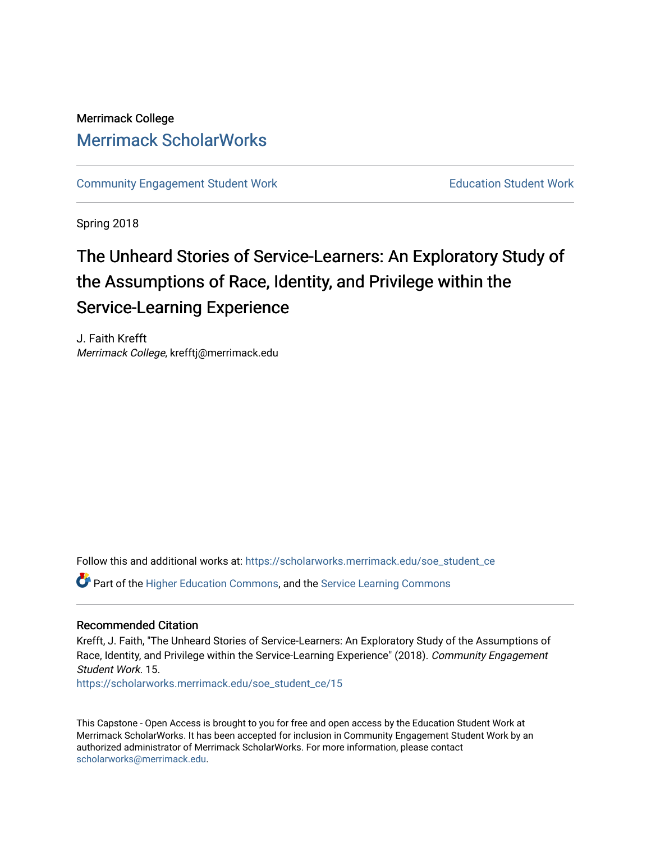## Merrimack College [Merrimack ScholarWorks](https://scholarworks.merrimack.edu/)

[Community Engagement Student Work](https://scholarworks.merrimack.edu/soe_student_ce) **Education Student Work** Education Student Work

Spring 2018

# The Unheard Stories of Service-Learners: An Exploratory Study of the Assumptions of Race, Identity, and Privilege within the Service-Learning Experience

J. Faith Krefft Merrimack College, krefftj@merrimack.edu

Follow this and additional works at: [https://scholarworks.merrimack.edu/soe\\_student\\_ce](https://scholarworks.merrimack.edu/soe_student_ce?utm_source=scholarworks.merrimack.edu%2Fsoe_student_ce%2F15&utm_medium=PDF&utm_campaign=PDFCoverPages) 

Part of the [Higher Education Commons,](http://network.bepress.com/hgg/discipline/1245?utm_source=scholarworks.merrimack.edu%2Fsoe_student_ce%2F15&utm_medium=PDF&utm_campaign=PDFCoverPages) and the [Service Learning Commons](http://network.bepress.com/hgg/discipline/1024?utm_source=scholarworks.merrimack.edu%2Fsoe_student_ce%2F15&utm_medium=PDF&utm_campaign=PDFCoverPages)

#### Recommended Citation

Krefft, J. Faith, "The Unheard Stories of Service-Learners: An Exploratory Study of the Assumptions of Race, Identity, and Privilege within the Service-Learning Experience" (2018). Community Engagement Student Work. 15.

[https://scholarworks.merrimack.edu/soe\\_student\\_ce/15](https://scholarworks.merrimack.edu/soe_student_ce/15?utm_source=scholarworks.merrimack.edu%2Fsoe_student_ce%2F15&utm_medium=PDF&utm_campaign=PDFCoverPages)

This Capstone - Open Access is brought to you for free and open access by the Education Student Work at Merrimack ScholarWorks. It has been accepted for inclusion in Community Engagement Student Work by an authorized administrator of Merrimack ScholarWorks. For more information, please contact [scholarworks@merrimack.edu](mailto:scholarworks@merrimack.edu).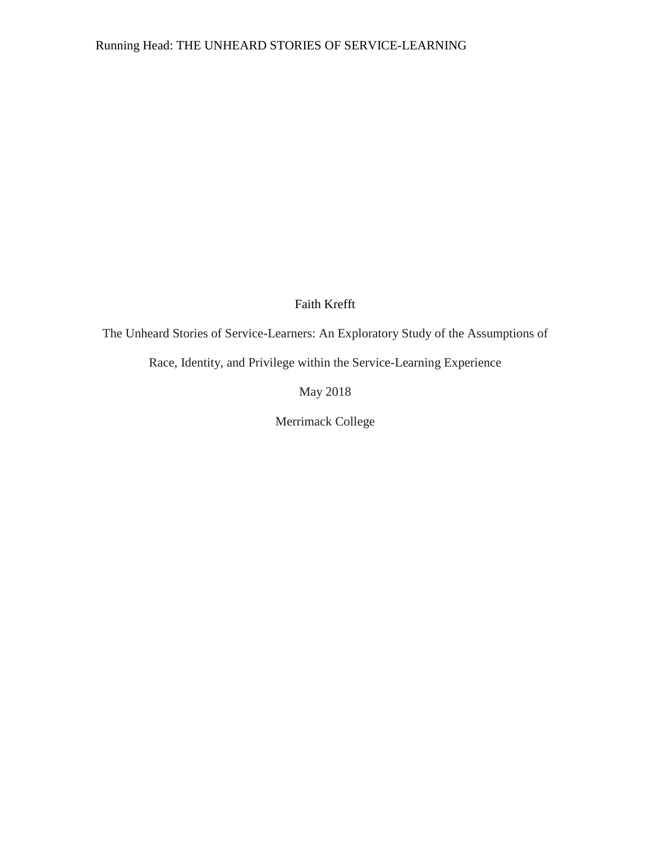## Faith Krefft

The Unheard Stories of Service-Learners: An Exploratory Study of the Assumptions of

Race, Identity, and Privilege within the Service-Learning Experience

May 2018

Merrimack College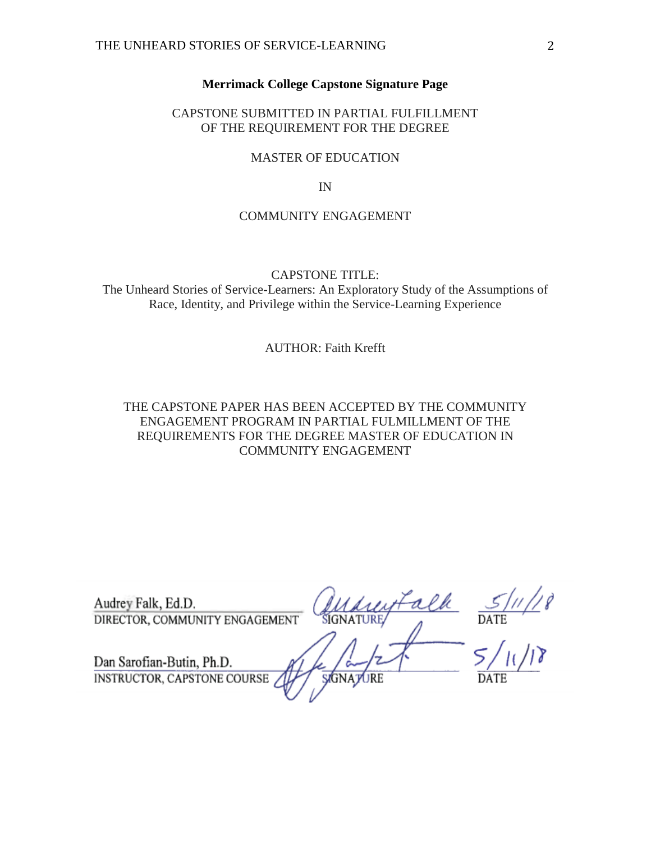#### **Merrimack College Capstone Signature Page**

#### <span id="page-2-0"></span>CAPSTONE SUBMITTED IN PARTIAL FULFILLMENT OF THE REQUIREMENT FOR THE DEGREE

#### MASTER OF EDUCATION

IN

#### COMMUNITY ENGAGEMENT

#### CAPSTONE TITLE:

The Unheard Stories of Service-Learners: An Exploratory Study of the Assumptions of Race, Identity, and Privilege within the Service-Learning Experience

#### AUTHOR: Faith Krefft

#### THE CAPSTONE PAPER HAS BEEN ACCEPTED BY THE COMMUNITY ENGAGEMENT PROGRAM IN PARTIAL FULMILLMENT OF THE REQUIREMENTS FOR THE DEGREE MASTER OF EDUCATION IN COMMUNITY ENGAGEMENT

| Audrey Falk, Ed.D.<br>DIRECTOR, COMMUNITY ENGAGEMENT     | SIGNATURE/       | DATE |
|----------------------------------------------------------|------------------|------|
| Dan Sarofian-Butin, Ph.D.<br>INSTRUCTOR, CAPSTONE COURSE | <b>SIGNATURE</b> | DATE |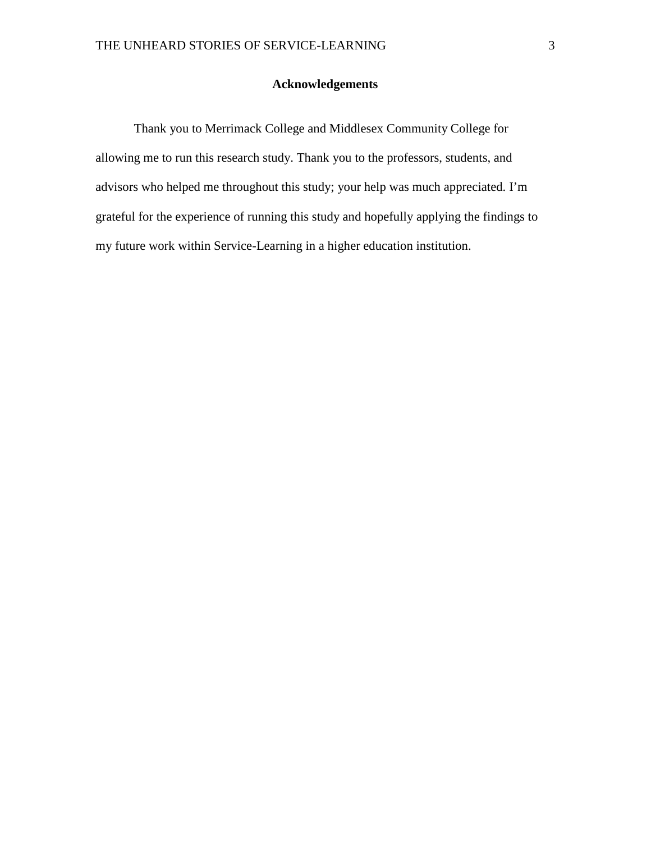### **Acknowledgements**

<span id="page-3-0"></span>Thank you to Merrimack College and Middlesex Community College for allowing me to run this research study. Thank you to the professors, students, and advisors who helped me throughout this study; your help was much appreciated. I'm grateful for the experience of running this study and hopefully applying the findings to my future work within Service-Learning in a higher education institution.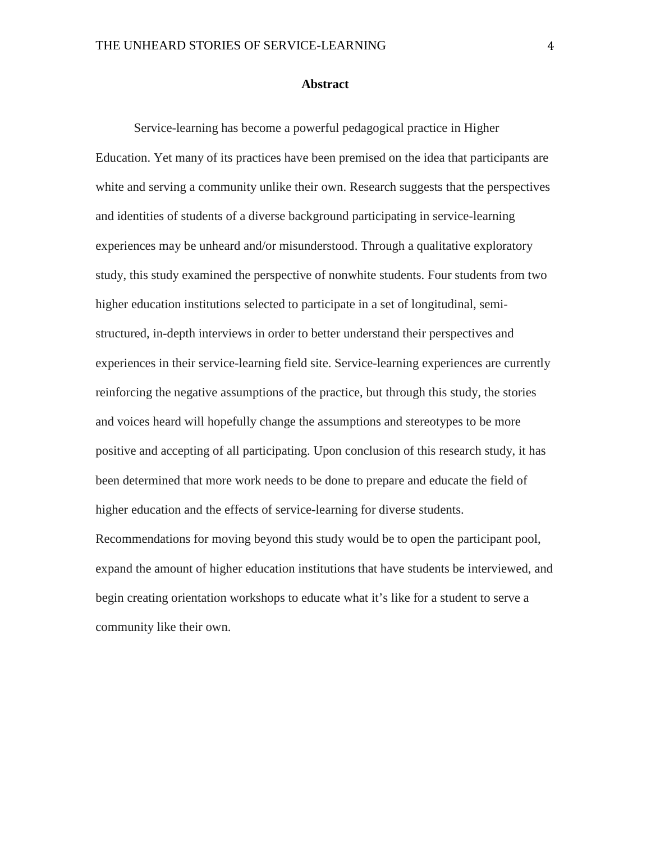#### **Abstract**

<span id="page-4-0"></span>Service-learning has become a powerful pedagogical practice in Higher Education. Yet many of its practices have been premised on the idea that participants are white and serving a community unlike their own. Research suggests that the perspectives and identities of students of a diverse background participating in service-learning experiences may be unheard and/or misunderstood. Through a qualitative exploratory study, this study examined the perspective of nonwhite students. Four students from two higher education institutions selected to participate in a set of longitudinal, semistructured, in-depth interviews in order to better understand their perspectives and experiences in their service-learning field site. Service-learning experiences are currently reinforcing the negative assumptions of the practice, but through this study, the stories and voices heard will hopefully change the assumptions and stereotypes to be more positive and accepting of all participating. Upon conclusion of this research study, it has been determined that more work needs to be done to prepare and educate the field of higher education and the effects of service-learning for diverse students.

Recommendations for moving beyond this study would be to open the participant pool, expand the amount of higher education institutions that have students be interviewed, and begin creating orientation workshops to educate what it's like for a student to serve a community like their own.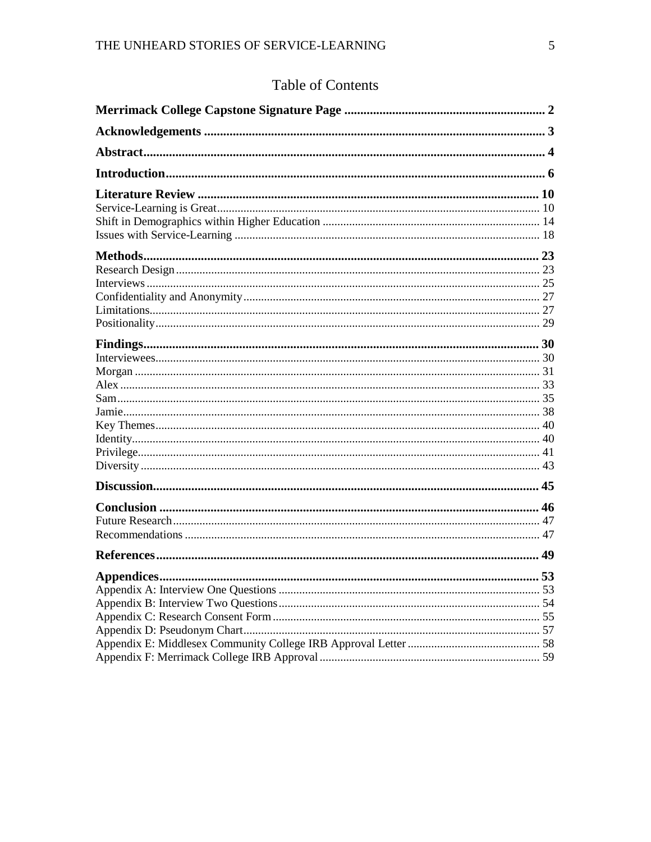## Table of Contents

| <b>Appendices</b> | 53 |
|-------------------|----|
|                   |    |
|                   |    |
|                   |    |
|                   |    |
|                   |    |
|                   |    |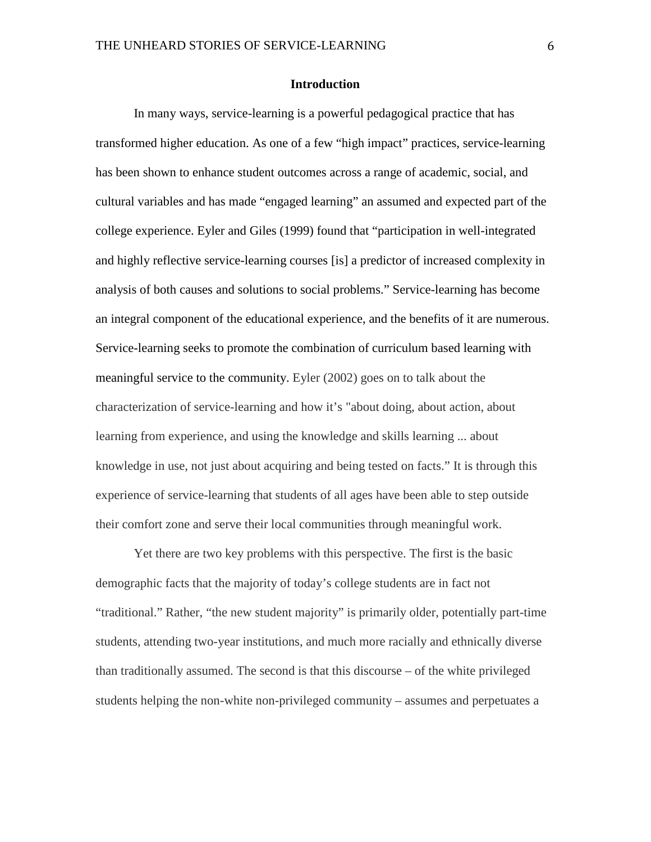#### **Introduction**

<span id="page-6-0"></span>In many ways, service-learning is a powerful pedagogical practice that has transformed higher education. As one of a few "high impact" practices, service-learning has been shown to enhance student outcomes across a range of academic, social, and cultural variables and has made "engaged learning" an assumed and expected part of the college experience. Eyler and Giles (1999) found that "participation in well-integrated and highly reflective service-learning courses [is] a predictor of increased complexity in analysis of both causes and solutions to social problems." Service-learning has become an integral component of the educational experience, and the benefits of it are numerous. Service-learning seeks to promote the combination of curriculum based learning with meaningful service to the community. Eyler (2002) goes on to talk about the characterization of service-learning and how it's "about doing, about action, about learning from experience, and using the knowledge and skills learning ... about knowledge in use, not just about acquiring and being tested on facts." It is through this experience of service-learning that students of all ages have been able to step outside their comfort zone and serve their local communities through meaningful work.

Yet there are two key problems with this perspective. The first is the basic demographic facts that the majority of today's college students are in fact not "traditional." Rather, "the new student majority" is primarily older, potentially part-time students, attending two-year institutions, and much more racially and ethnically diverse than traditionally assumed. The second is that this discourse – of the white privileged students helping the non-white non-privileged community – assumes and perpetuates a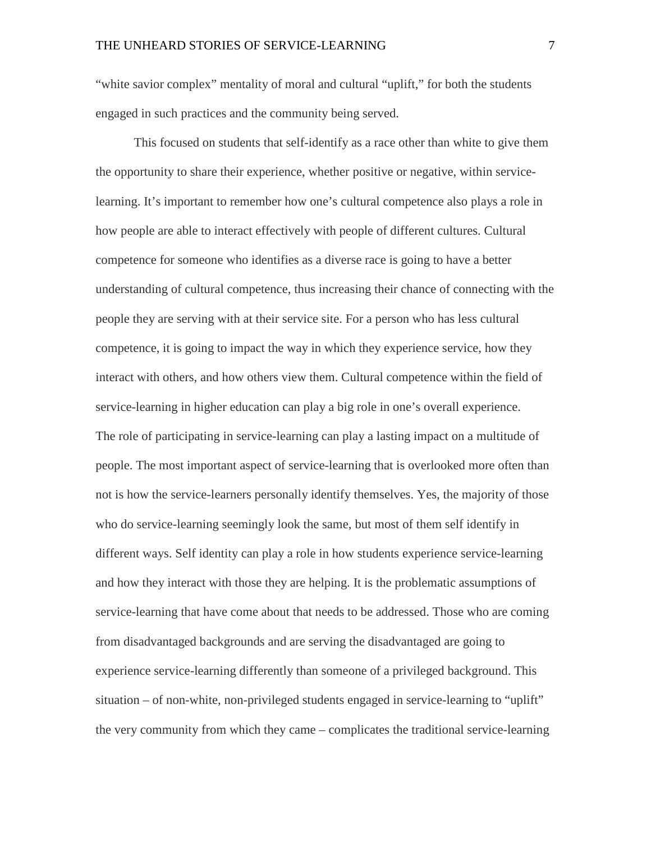"white savior complex" mentality of moral and cultural "uplift," for both the students engaged in such practices and the community being served.

This focused on students that self-identify as a race other than white to give them the opportunity to share their experience, whether positive or negative, within servicelearning. It's important to remember how one's cultural competence also plays a role in how people are able to interact effectively with people of different cultures. Cultural competence for someone who identifies as a diverse race is going to have a better understanding of cultural competence, thus increasing their chance of connecting with the people they are serving with at their service site. For a person who has less cultural competence, it is going to impact the way in which they experience service, how they interact with others, and how others view them. Cultural competence within the field of service-learning in higher education can play a big role in one's overall experience. The role of participating in service-learning can play a lasting impact on a multitude of people. The most important aspect of service-learning that is overlooked more often than not is how the service-learners personally identify themselves. Yes, the majority of those who do service-learning seemingly look the same, but most of them self identify in different ways. Self identity can play a role in how students experience service-learning and how they interact with those they are helping. It is the problematic assumptions of service-learning that have come about that needs to be addressed. Those who are coming from disadvantaged backgrounds and are serving the disadvantaged are going to experience service-learning differently than someone of a privileged background. This situation – of non-white, non-privileged students engaged in service-learning to "uplift" the very community from which they came – complicates the traditional service-learning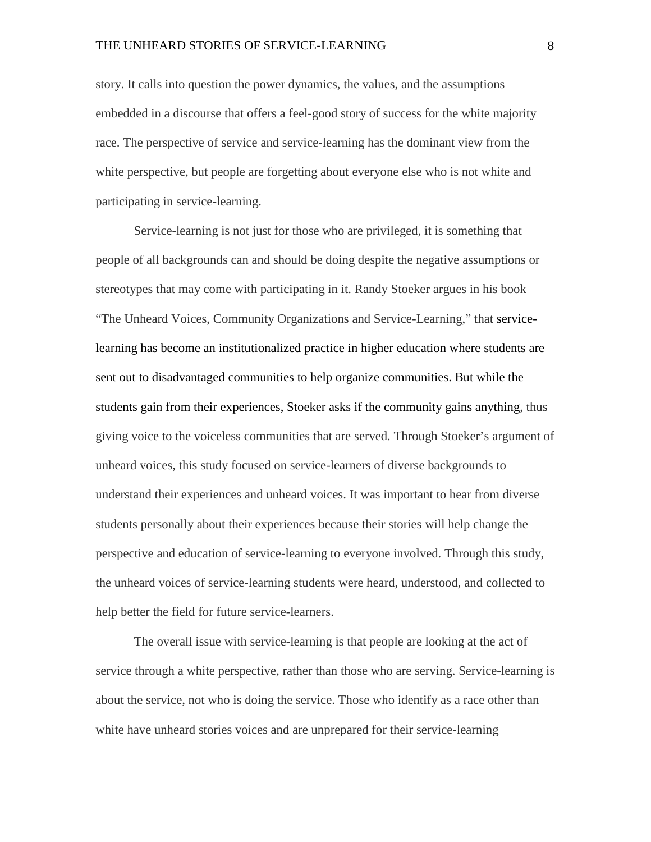story. It calls into question the power dynamics, the values, and the assumptions embedded in a discourse that offers a feel-good story of success for the white majority race. The perspective of service and service-learning has the dominant view from the white perspective, but people are forgetting about everyone else who is not white and participating in service-learning.

Service-learning is not just for those who are privileged, it is something that people of all backgrounds can and should be doing despite the negative assumptions or stereotypes that may come with participating in it. Randy Stoeker argues in his book "The Unheard Voices, Community Organizations and Service-Learning," that servicelearning has become an institutionalized practice in higher education where students are sent out to disadvantaged communities to help organize communities. But while the students gain from their experiences, Stoeker asks if the community gains anything, thus giving voice to the voiceless communities that are served. Through Stoeker's argument of unheard voices, this study focused on service-learners of diverse backgrounds to understand their experiences and unheard voices. It was important to hear from diverse students personally about their experiences because their stories will help change the perspective and education of service-learning to everyone involved. Through this study, the unheard voices of service-learning students were heard, understood, and collected to help better the field for future service-learners.

The overall issue with service-learning is that people are looking at the act of service through a white perspective, rather than those who are serving. Service-learning is about the service, not who is doing the service. Those who identify as a race other than white have unheard stories voices and are unprepared for their service-learning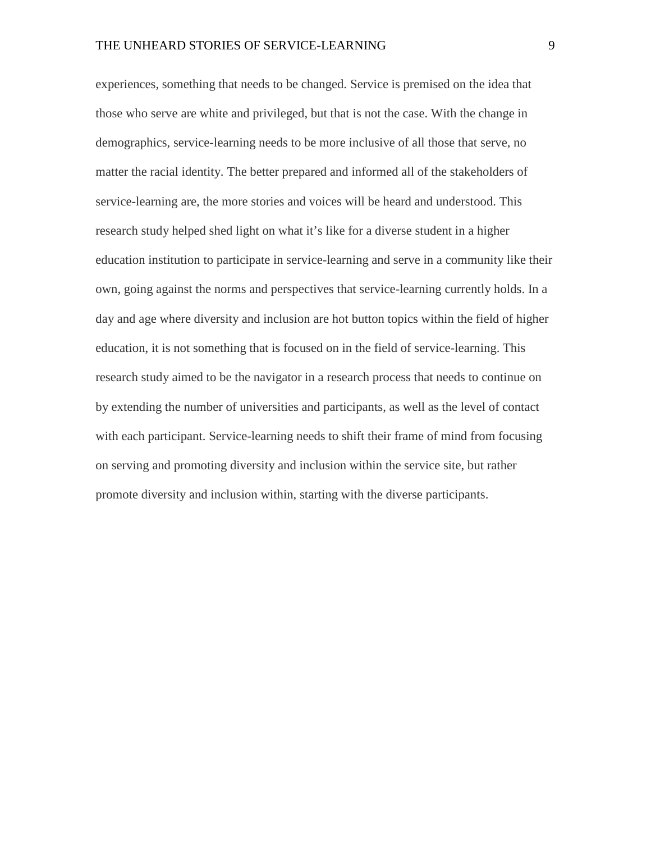experiences, something that needs to be changed. Service is premised on the idea that those who serve are white and privileged, but that is not the case. With the change in demographics, service-learning needs to be more inclusive of all those that serve, no matter the racial identity. The better prepared and informed all of the stakeholders of service-learning are, the more stories and voices will be heard and understood. This research study helped shed light on what it's like for a diverse student in a higher education institution to participate in service-learning and serve in a community like their own, going against the norms and perspectives that service-learning currently holds. In a day and age where diversity and inclusion are hot button topics within the field of higher education, it is not something that is focused on in the field of service-learning. This research study aimed to be the navigator in a research process that needs to continue on by extending the number of universities and participants, as well as the level of contact with each participant. Service-learning needs to shift their frame of mind from focusing on serving and promoting diversity and inclusion within the service site, but rather promote diversity and inclusion within, starting with the diverse participants.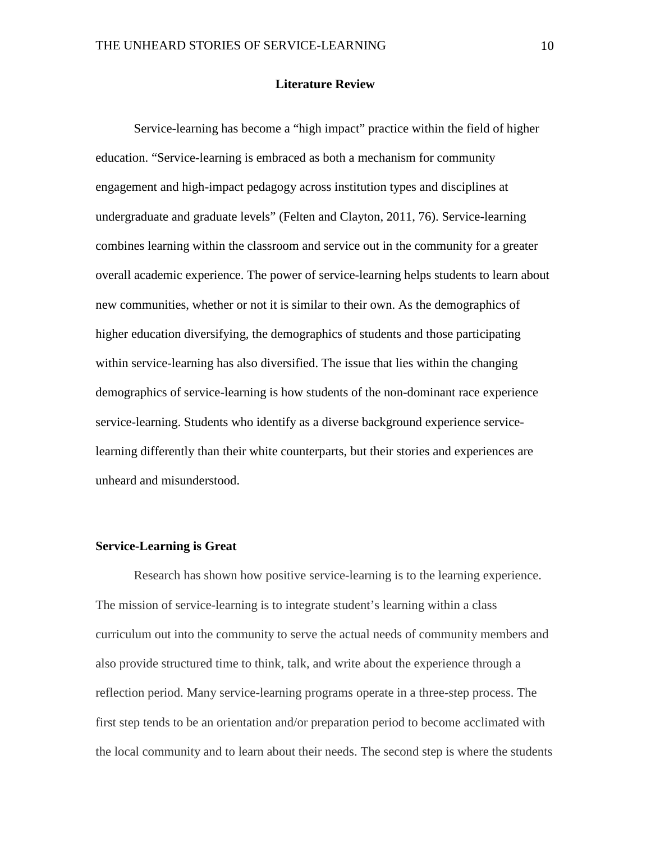#### **Literature Review**

<span id="page-10-0"></span>Service-learning has become a "high impact" practice within the field of higher education. "Service-learning is embraced as both a mechanism for community engagement and high-impact pedagogy across institution types and disciplines at undergraduate and graduate levels" (Felten and Clayton, 2011, 76). Service-learning combines learning within the classroom and service out in the community for a greater overall academic experience. The power of service-learning helps students to learn about new communities, whether or not it is similar to their own. As the demographics of higher education diversifying, the demographics of students and those participating within service-learning has also diversified. The issue that lies within the changing demographics of service-learning is how students of the non-dominant race experience service-learning. Students who identify as a diverse background experience servicelearning differently than their white counterparts, but their stories and experiences are unheard and misunderstood.

#### <span id="page-10-1"></span>**Service-Learning is Great**

Research has shown how positive service-learning is to the learning experience. The mission of service-learning is to integrate student's learning within a class curriculum out into the community to serve the actual needs of community members and also provide structured time to think, talk, and write about the experience through a reflection period. Many service-learning programs operate in a three-step process. The first step tends to be an orientation and/or preparation period to become acclimated with the local community and to learn about their needs. The second step is where the students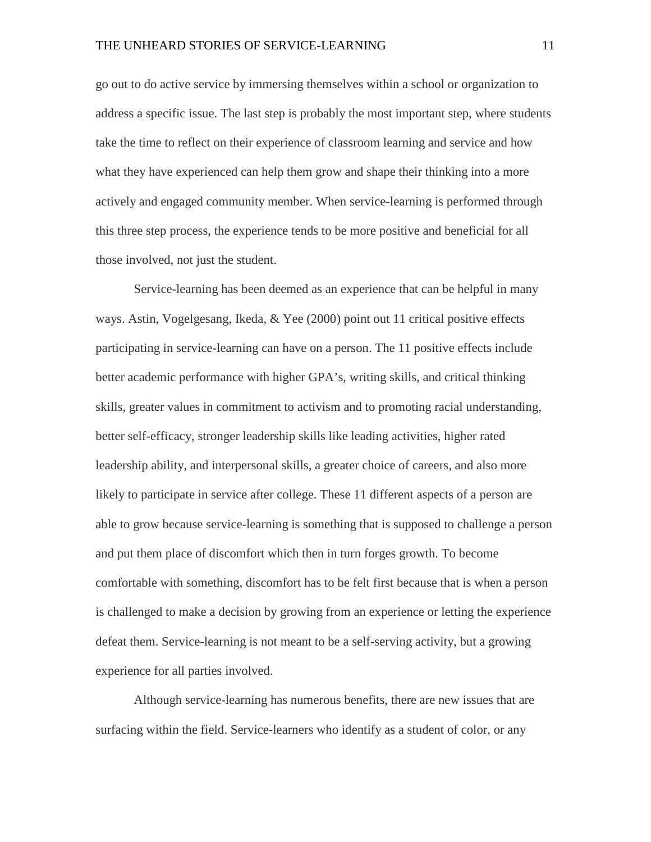go out to do active service by immersing themselves within a school or organization to address a specific issue. The last step is probably the most important step, where students take the time to reflect on their experience of classroom learning and service and how what they have experienced can help them grow and shape their thinking into a more actively and engaged community member. When service-learning is performed through this three step process, the experience tends to be more positive and beneficial for all those involved, not just the student.

Service-learning has been deemed as an experience that can be helpful in many ways. Astin, Vogelgesang, Ikeda, & Yee (2000) point out 11 critical positive effects participating in service-learning can have on a person. The 11 positive effects include better academic performance with higher GPA's, writing skills, and critical thinking skills, greater values in commitment to activism and to promoting racial understanding, better self-efficacy, stronger leadership skills like leading activities, higher rated leadership ability, and interpersonal skills, a greater choice of careers, and also more likely to participate in service after college. These 11 different aspects of a person are able to grow because service-learning is something that is supposed to challenge a person and put them place of discomfort which then in turn forges growth. To become comfortable with something, discomfort has to be felt first because that is when a person is challenged to make a decision by growing from an experience or letting the experience defeat them. Service-learning is not meant to be a self-serving activity, but a growing experience for all parties involved.

Although service-learning has numerous benefits, there are new issues that are surfacing within the field. Service-learners who identify as a student of color, or any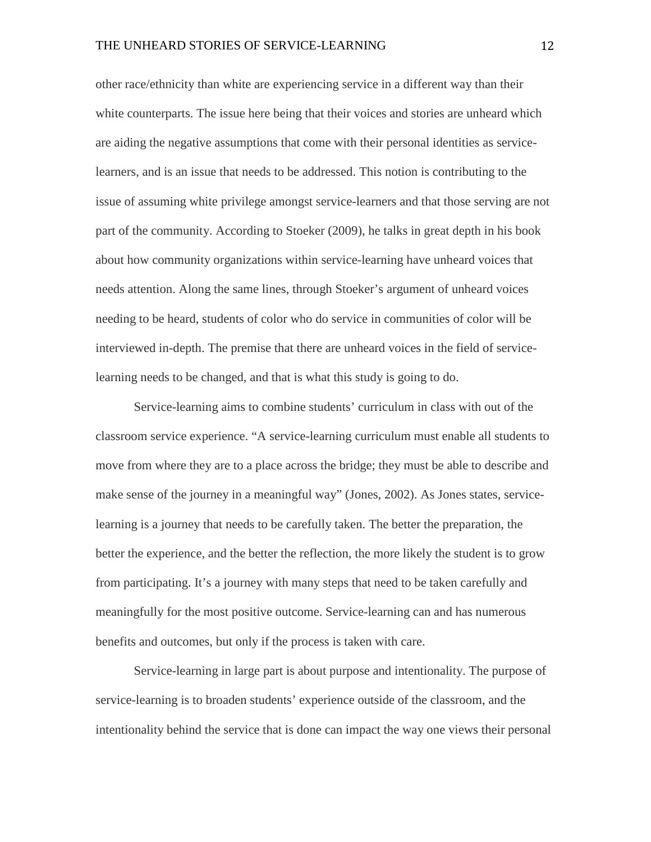other race/ethnicity than white are experiencing service in a different way than their white counterparts. The issue here being that their voices and stories are unheard which are aiding the negative assumptions that come with their personal identities as servicelearners, and is an issue that needs to be addressed. This notion is contributing to the issue of assuming white privilege amongst service-learners and that those serving are not part of the community. According to Stoeker (2009), he talks in great depth in his book about how community organizations within service-learning have unheard voices that needs attention. Along the same lines, through Stoeker's argument of unheard voices needing to be heard, students of color who do service in communities of color will be interviewed in-depth. The premise that there are unheard voices in the field of servicelearning needs to be changed, and that is what this study is going to do.

Service-learning aims to combine students' curriculum in class with out of the classroom service experience. "A service-learning curriculum must enable all students to move from where they are to a place across the bridge; they must be able to describe and make sense of the journey in a meaningful way" (Jones, 2002). As Jones states, servicelearning is a journey that needs to be carefully taken. The better the preparation, the better the experience, and the better the reflection, the more likely the student is to grow from participating. It's a journey with many steps that need to be taken carefully and meaningfully for the most positive outcome. Service-learning can and has numerous benefits and outcomes, but only if the process is taken with care.

Service-learning in large part is about purpose and intentionality. The purpose of service-learning is to broaden students' experience outside of the classroom, and the intentionality behind the service that is done can impact the way one views their personal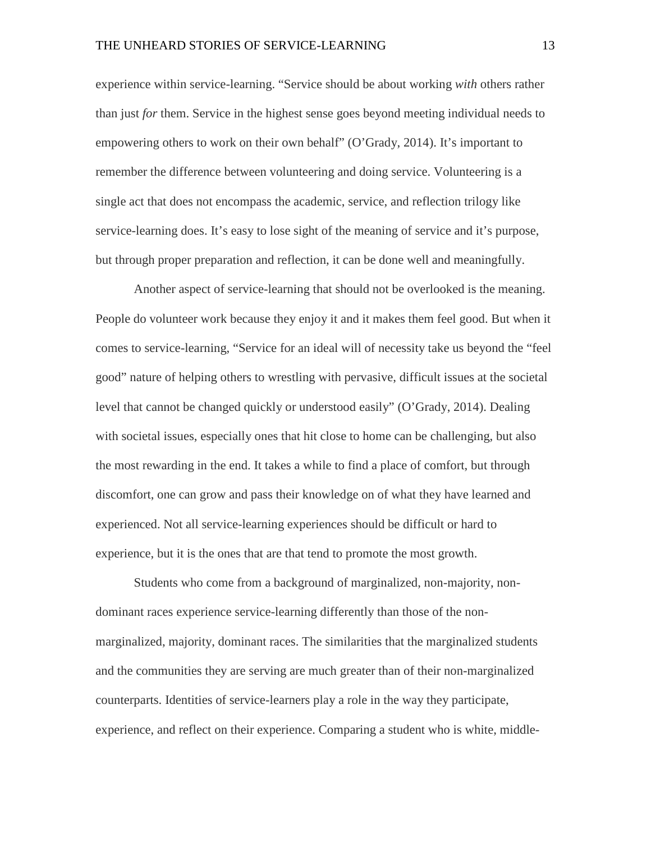experience within service-learning. "Service should be about working *with* others rather than just *for* them. Service in the highest sense goes beyond meeting individual needs to empowering others to work on their own behalf" (O'Grady, 2014). It's important to remember the difference between volunteering and doing service. Volunteering is a single act that does not encompass the academic, service, and reflection trilogy like service-learning does. It's easy to lose sight of the meaning of service and it's purpose, but through proper preparation and reflection, it can be done well and meaningfully.

Another aspect of service-learning that should not be overlooked is the meaning. People do volunteer work because they enjoy it and it makes them feel good. But when it comes to service-learning, "Service for an ideal will of necessity take us beyond the "feel good" nature of helping others to wrestling with pervasive, difficult issues at the societal level that cannot be changed quickly or understood easily" (O'Grady, 2014). Dealing with societal issues, especially ones that hit close to home can be challenging, but also the most rewarding in the end. It takes a while to find a place of comfort, but through discomfort, one can grow and pass their knowledge on of what they have learned and experienced. Not all service-learning experiences should be difficult or hard to experience, but it is the ones that are that tend to promote the most growth.

Students who come from a background of marginalized, non-majority, nondominant races experience service-learning differently than those of the nonmarginalized, majority, dominant races. The similarities that the marginalized students and the communities they are serving are much greater than of their non-marginalized counterparts. Identities of service-learners play a role in the way they participate, experience, and reflect on their experience. Comparing a student who is white, middle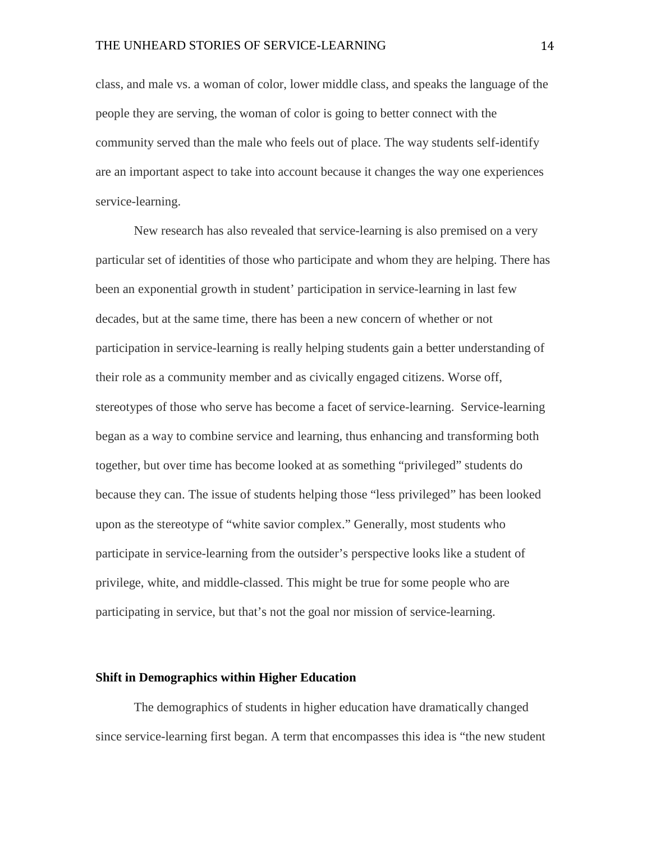class, and male vs. a woman of color, lower middle class, and speaks the language of the people they are serving, the woman of color is going to better connect with the community served than the male who feels out of place. The way students self-identify are an important aspect to take into account because it changes the way one experiences service-learning.

New research has also revealed that service-learning is also premised on a very particular set of identities of those who participate and whom they are helping. There has been an exponential growth in student' participation in service-learning in last few decades, but at the same time, there has been a new concern of whether or not participation in service-learning is really helping students gain a better understanding of their role as a community member and as civically engaged citizens. Worse off, stereotypes of those who serve has become a facet of service-learning. Service-learning began as a way to combine service and learning, thus enhancing and transforming both together, but over time has become looked at as something "privileged" students do because they can. The issue of students helping those "less privileged" has been looked upon as the stereotype of "white savior complex." Generally, most students who participate in service-learning from the outsider's perspective looks like a student of privilege, white, and middle-classed. This might be true for some people who are participating in service, but that's not the goal nor mission of service-learning.

#### <span id="page-14-0"></span>**Shift in Demographics within Higher Education**

The demographics of students in higher education have dramatically changed since service-learning first began. A term that encompasses this idea is "the new student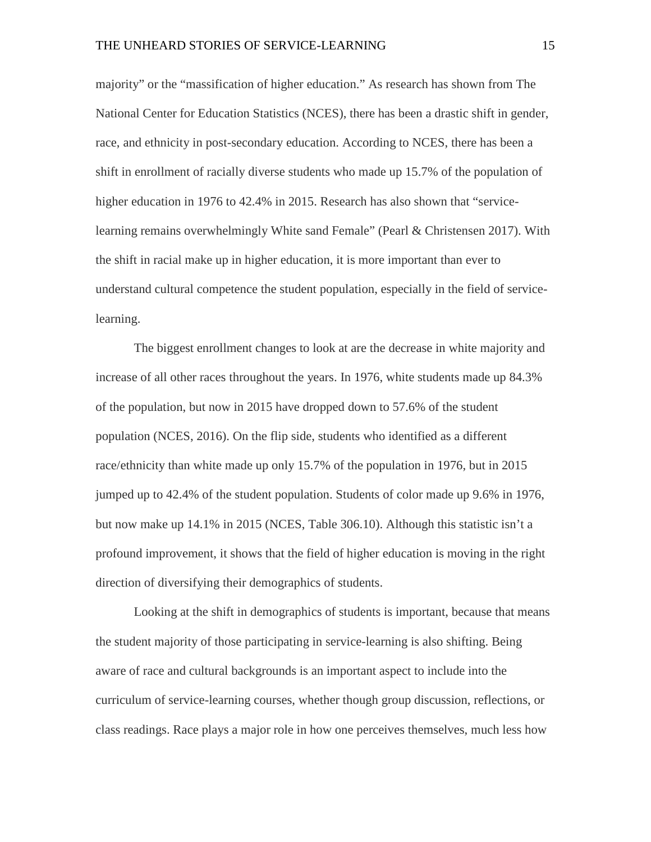majority" or the "massification of higher education." As research has shown from The National Center for Education Statistics (NCES), there has been a drastic shift in gender, race, and ethnicity in post-secondary education. According to NCES, there has been a shift in enrollment of racially diverse students who made up 15.7% of the population of higher education in 1976 to 42.4% in 2015. Research has also shown that "servicelearning remains overwhelmingly White sand Female" (Pearl & Christensen 2017). With the shift in racial make up in higher education, it is more important than ever to understand cultural competence the student population, especially in the field of servicelearning.

The biggest enrollment changes to look at are the decrease in white majority and increase of all other races throughout the years. In 1976, white students made up 84.3% of the population, but now in 2015 have dropped down to 57.6% of the student population (NCES, 2016). On the flip side, students who identified as a different race/ethnicity than white made up only 15.7% of the population in 1976, but in 2015 jumped up to 42.4% of the student population. Students of color made up 9.6% in 1976, but now make up 14.1% in 2015 (NCES, Table 306.10). Although this statistic isn't a profound improvement, it shows that the field of higher education is moving in the right direction of diversifying their demographics of students.

Looking at the shift in demographics of students is important, because that means the student majority of those participating in service-learning is also shifting. Being aware of race and cultural backgrounds is an important aspect to include into the curriculum of service-learning courses, whether though group discussion, reflections, or class readings. Race plays a major role in how one perceives themselves, much less how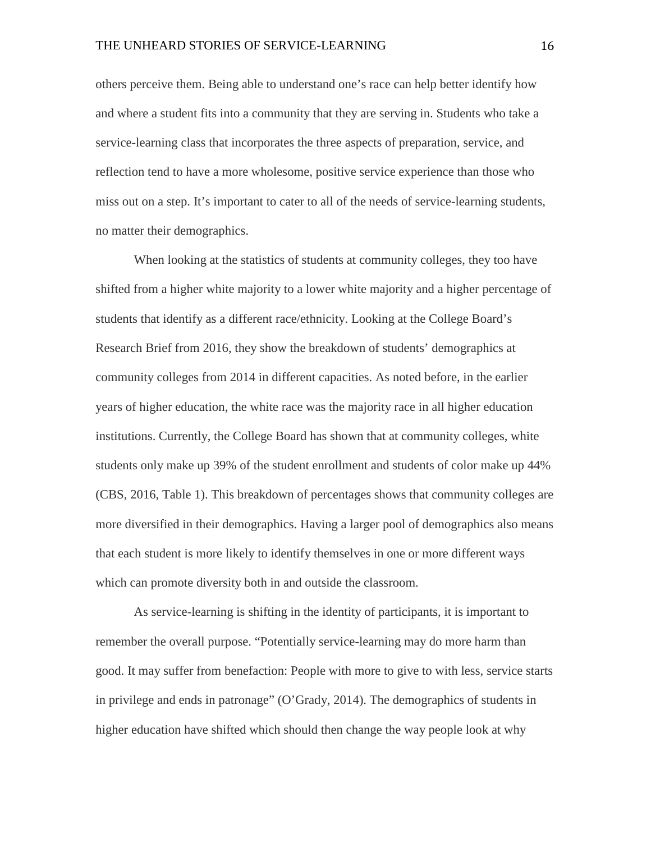others perceive them. Being able to understand one's race can help better identify how and where a student fits into a community that they are serving in. Students who take a service-learning class that incorporates the three aspects of preparation, service, and reflection tend to have a more wholesome, positive service experience than those who miss out on a step. It's important to cater to all of the needs of service-learning students, no matter their demographics.

When looking at the statistics of students at community colleges, they too have shifted from a higher white majority to a lower white majority and a higher percentage of students that identify as a different race/ethnicity. Looking at the College Board's Research Brief from 2016, they show the breakdown of students' demographics at community colleges from 2014 in different capacities. As noted before, in the earlier years of higher education, the white race was the majority race in all higher education institutions. Currently, the College Board has shown that at community colleges, white students only make up 39% of the student enrollment and students of color make up 44% (CBS, 2016, Table 1). This breakdown of percentages shows that community colleges are more diversified in their demographics. Having a larger pool of demographics also means that each student is more likely to identify themselves in one or more different ways which can promote diversity both in and outside the classroom.

As service-learning is shifting in the identity of participants, it is important to remember the overall purpose. "Potentially service-learning may do more harm than good. It may suffer from benefaction: People with more to give to with less, service starts in privilege and ends in patronage" (O'Grady, 2014). The demographics of students in higher education have shifted which should then change the way people look at why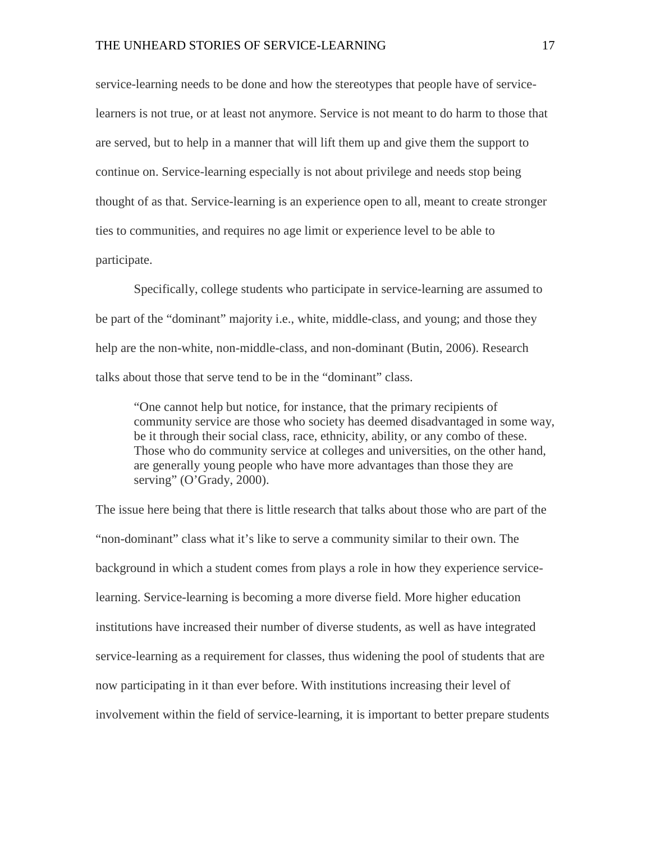service-learning needs to be done and how the stereotypes that people have of servicelearners is not true, or at least not anymore. Service is not meant to do harm to those that are served, but to help in a manner that will lift them up and give them the support to continue on. Service-learning especially is not about privilege and needs stop being thought of as that. Service-learning is an experience open to all, meant to create stronger ties to communities, and requires no age limit or experience level to be able to participate.

Specifically, college students who participate in service-learning are assumed to be part of the "dominant" majority i.e., white, middle-class, and young; and those they help are the non-white, non-middle-class, and non-dominant (Butin, 2006). Research talks about those that serve tend to be in the "dominant" class.

"One cannot help but notice, for instance, that the primary recipients of community service are those who society has deemed disadvantaged in some way, be it through their social class, race, ethnicity, ability, or any combo of these. Those who do community service at colleges and universities, on the other hand, are generally young people who have more advantages than those they are serving" (O'Grady, 2000).

The issue here being that there is little research that talks about those who are part of the "non-dominant" class what it's like to serve a community similar to their own. The background in which a student comes from plays a role in how they experience servicelearning. Service-learning is becoming a more diverse field. More higher education institutions have increased their number of diverse students, as well as have integrated service-learning as a requirement for classes, thus widening the pool of students that are now participating in it than ever before. With institutions increasing their level of involvement within the field of service-learning, it is important to better prepare students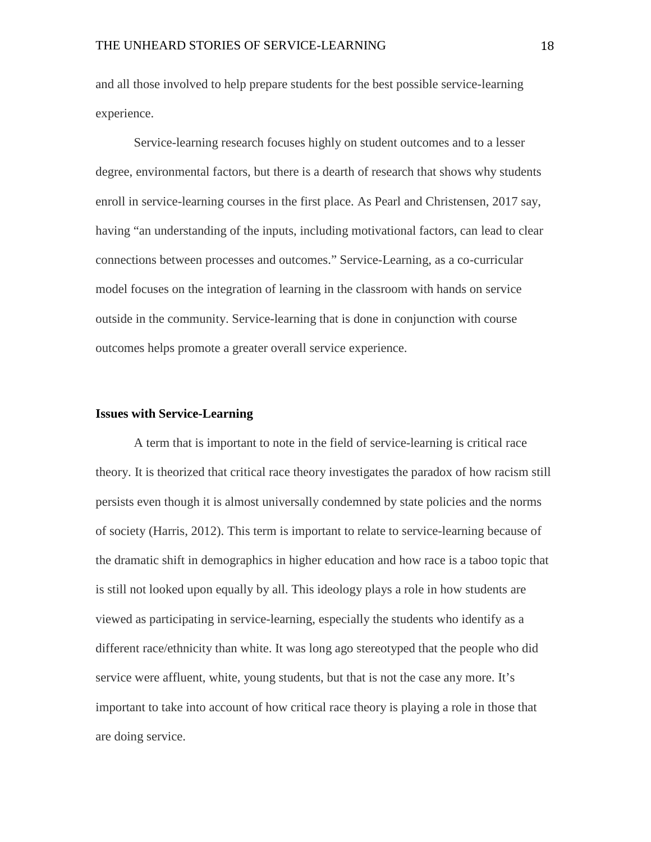and all those involved to help prepare students for the best possible service-learning experience.

Service-learning research focuses highly on student outcomes and to a lesser degree, environmental factors, but there is a dearth of research that shows why students enroll in service-learning courses in the first place. As Pearl and Christensen, 2017 say, having "an understanding of the inputs, including motivational factors, can lead to clear connections between processes and outcomes." Service-Learning, as a co-curricular model focuses on the integration of learning in the classroom with hands on service outside in the community. Service-learning that is done in conjunction with course outcomes helps promote a greater overall service experience.

#### <span id="page-18-0"></span>**Issues with Service-Learning**

A term that is important to note in the field of service-learning is critical race theory. It is theorized that critical race theory investigates the paradox of how racism still persists even though it is almost universally condemned by state policies and the norms of society (Harris, 2012). This term is important to relate to service-learning because of the dramatic shift in demographics in higher education and how race is a taboo topic that is still not looked upon equally by all. This ideology plays a role in how students are viewed as participating in service-learning, especially the students who identify as a different race/ethnicity than white. It was long ago stereotyped that the people who did service were affluent, white, young students, but that is not the case any more. It's important to take into account of how critical race theory is playing a role in those that are doing service.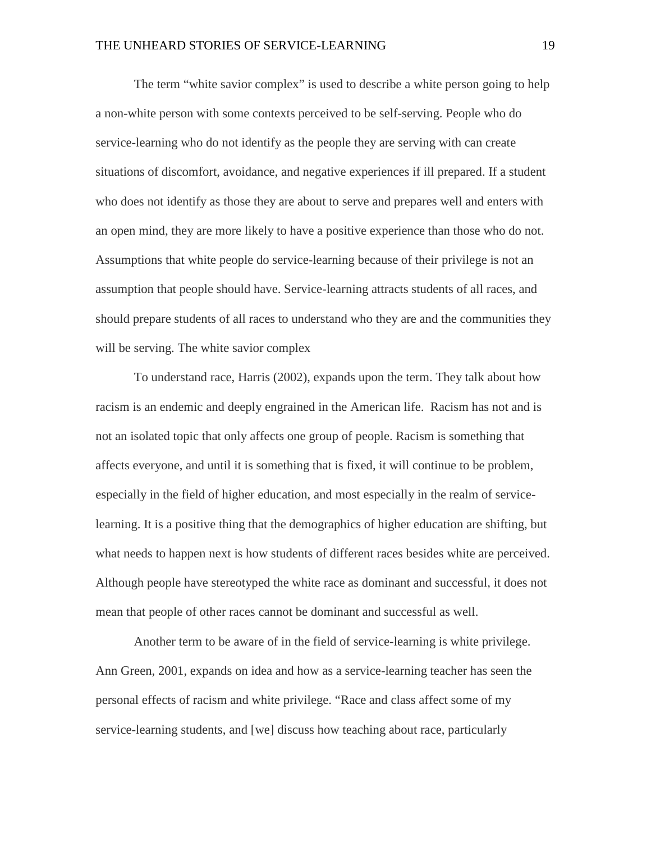The term "white savior complex" is used to describe a white person going to help a non-white person with some contexts perceived to be self-serving. People who do service-learning who do not identify as the people they are serving with can create situations of discomfort, avoidance, and negative experiences if ill prepared. If a student who does not identify as those they are about to serve and prepares well and enters with an open mind, they are more likely to have a positive experience than those who do not. Assumptions that white people do service-learning because of their privilege is not an assumption that people should have. Service-learning attracts students of all races, and should prepare students of all races to understand who they are and the communities they will be serving. The white savior complex

To understand race, Harris (2002), expands upon the term. They talk about how racism is an endemic and deeply engrained in the American life. Racism has not and is not an isolated topic that only affects one group of people. Racism is something that affects everyone, and until it is something that is fixed, it will continue to be problem, especially in the field of higher education, and most especially in the realm of servicelearning. It is a positive thing that the demographics of higher education are shifting, but what needs to happen next is how students of different races besides white are perceived. Although people have stereotyped the white race as dominant and successful, it does not mean that people of other races cannot be dominant and successful as well.

Another term to be aware of in the field of service-learning is white privilege. Ann Green, 2001, expands on idea and how as a service-learning teacher has seen the personal effects of racism and white privilege. "Race and class affect some of my service-learning students, and [we] discuss how teaching about race, particularly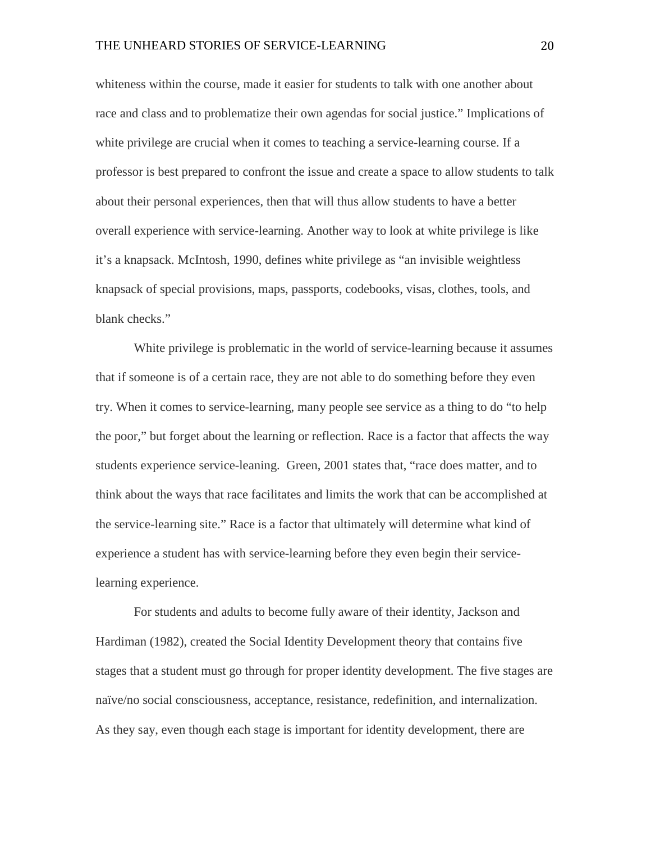whiteness within the course, made it easier for students to talk with one another about race and class and to problematize their own agendas for social justice." Implications of white privilege are crucial when it comes to teaching a service-learning course. If a professor is best prepared to confront the issue and create a space to allow students to talk about their personal experiences, then that will thus allow students to have a better overall experience with service-learning. Another way to look at white privilege is like it's a knapsack. McIntosh, 1990, defines white privilege as "an invisible weightless knapsack of special provisions, maps, passports, codebooks, visas, clothes, tools, and blank checks."

White privilege is problematic in the world of service-learning because it assumes that if someone is of a certain race, they are not able to do something before they even try. When it comes to service-learning, many people see service as a thing to do "to help the poor," but forget about the learning or reflection. Race is a factor that affects the way students experience service-leaning. Green, 2001 states that, "race does matter, and to think about the ways that race facilitates and limits the work that can be accomplished at the service-learning site." Race is a factor that ultimately will determine what kind of experience a student has with service-learning before they even begin their servicelearning experience.

For students and adults to become fully aware of their identity, Jackson and Hardiman (1982), created the Social Identity Development theory that contains five stages that a student must go through for proper identity development. The five stages are naïve/no social consciousness, acceptance, resistance, redefinition, and internalization. As they say, even though each stage is important for identity development, there are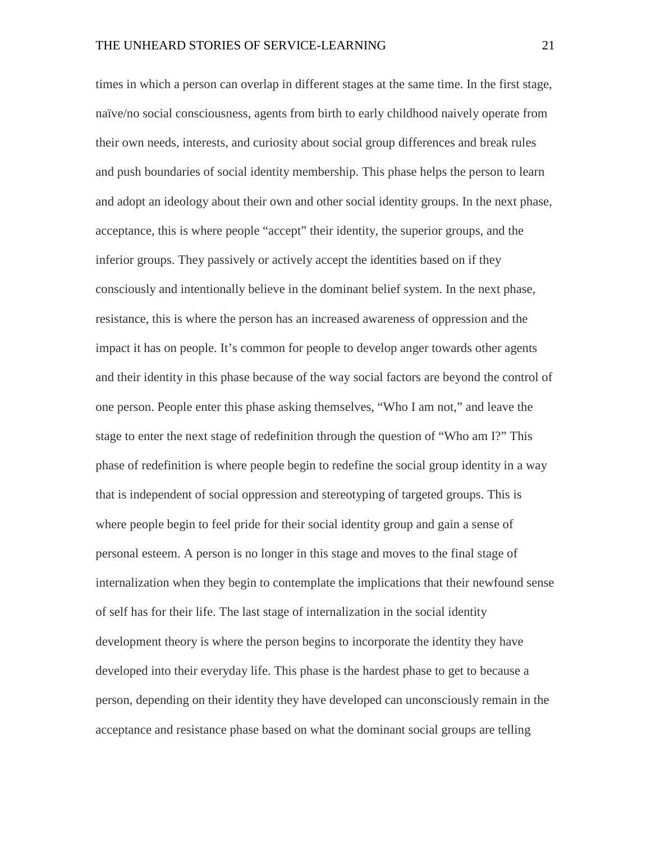times in which a person can overlap in different stages at the same time. In the first stage, naïve/no social consciousness, agents from birth to early childhood naively operate from their own needs, interests, and curiosity about social group differences and break rules and push boundaries of social identity membership. This phase helps the person to learn and adopt an ideology about their own and other social identity groups. In the next phase, acceptance, this is where people "accept" their identity, the superior groups, and the inferior groups. They passively or actively accept the identities based on if they consciously and intentionally believe in the dominant belief system. In the next phase, resistance, this is where the person has an increased awareness of oppression and the impact it has on people. It's common for people to develop anger towards other agents and their identity in this phase because of the way social factors are beyond the control of one person. People enter this phase asking themselves, "Who I am not," and leave the stage to enter the next stage of redefinition through the question of "Who am I?" This phase of redefinition is where people begin to redefine the social group identity in a way that is independent of social oppression and stereotyping of targeted groups. This is where people begin to feel pride for their social identity group and gain a sense of personal esteem. A person is no longer in this stage and moves to the final stage of internalization when they begin to contemplate the implications that their newfound sense of self has for their life. The last stage of internalization in the social identity development theory is where the person begins to incorporate the identity they have developed into their everyday life. This phase is the hardest phase to get to because a person, depending on their identity they have developed can unconsciously remain in the acceptance and resistance phase based on what the dominant social groups are telling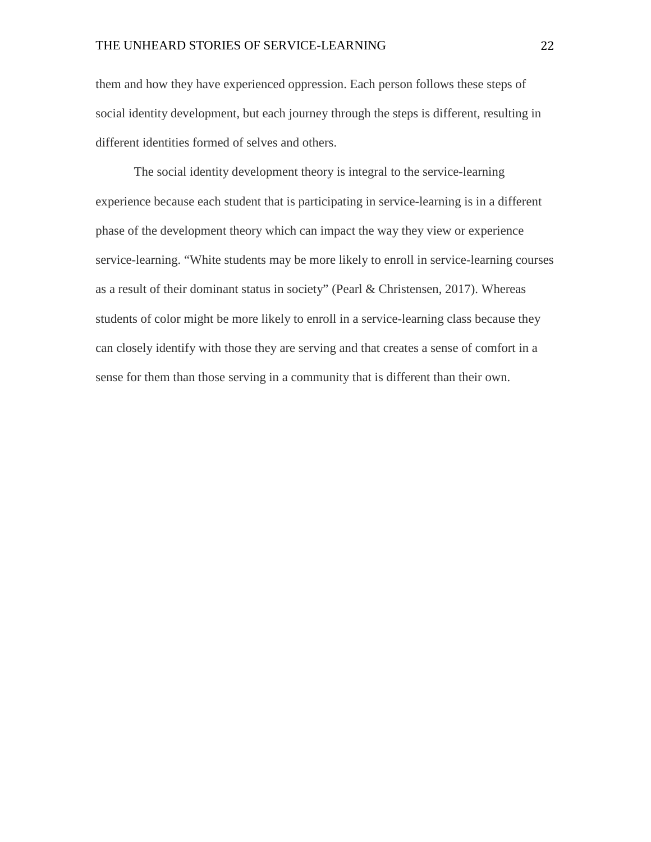them and how they have experienced oppression. Each person follows these steps of social identity development, but each journey through the steps is different, resulting in different identities formed of selves and others.

The social identity development theory is integral to the service-learning experience because each student that is participating in service-learning is in a different phase of the development theory which can impact the way they view or experience service-learning. "White students may be more likely to enroll in service-learning courses as a result of their dominant status in society" (Pearl & Christensen, 2017). Whereas students of color might be more likely to enroll in a service-learning class because they can closely identify with those they are serving and that creates a sense of comfort in a sense for them than those serving in a community that is different than their own.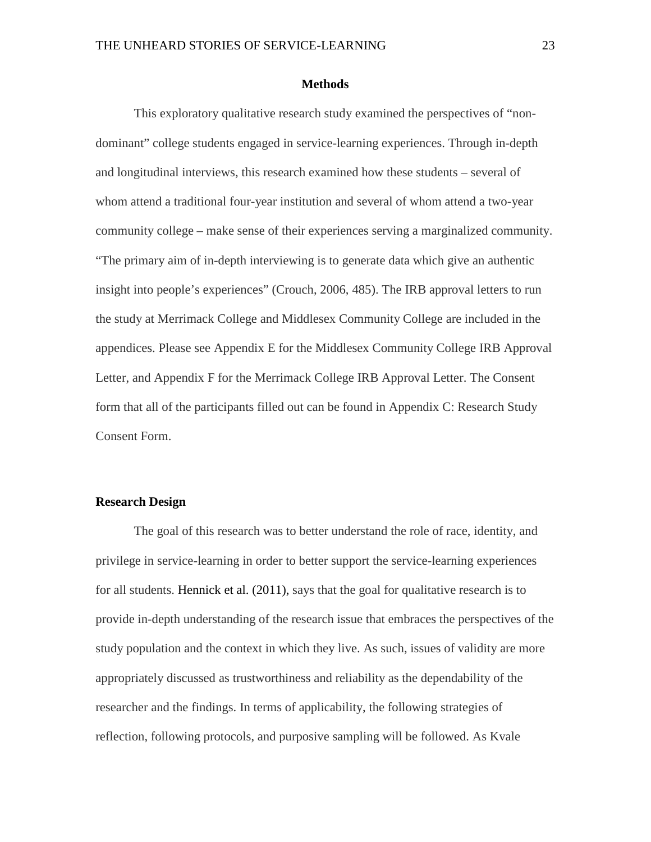#### **Methods**

<span id="page-23-0"></span>This exploratory qualitative research study examined the perspectives of "nondominant" college students engaged in service-learning experiences. Through in-depth and longitudinal interviews, this research examined how these students – several of whom attend a traditional four-year institution and several of whom attend a two-year community college – make sense of their experiences serving a marginalized community. "The primary aim of in-depth interviewing is to generate data which give an authentic insight into people's experiences" (Crouch, 2006, 485). The IRB approval letters to run the study at Merrimack College and Middlesex Community College are included in the appendices. Please see Appendix E for the Middlesex Community College IRB Approval Letter, and Appendix F for the Merrimack College IRB Approval Letter. The Consent form that all of the participants filled out can be found in Appendix C: Research Study Consent Form.

#### <span id="page-23-1"></span>**Research Design**

The goal of this research was to better understand the role of race, identity, and privilege in service-learning in order to better support the service-learning experiences for all students. Hennick et al. (2011), says that the goal for qualitative research is to provide in-depth understanding of the research issue that embraces the perspectives of the study population and the context in which they live. As such, issues of validity are more appropriately discussed as trustworthiness and reliability as the dependability of the researcher and the findings. In terms of applicability, the following strategies of reflection, following protocols, and purposive sampling will be followed. As Kvale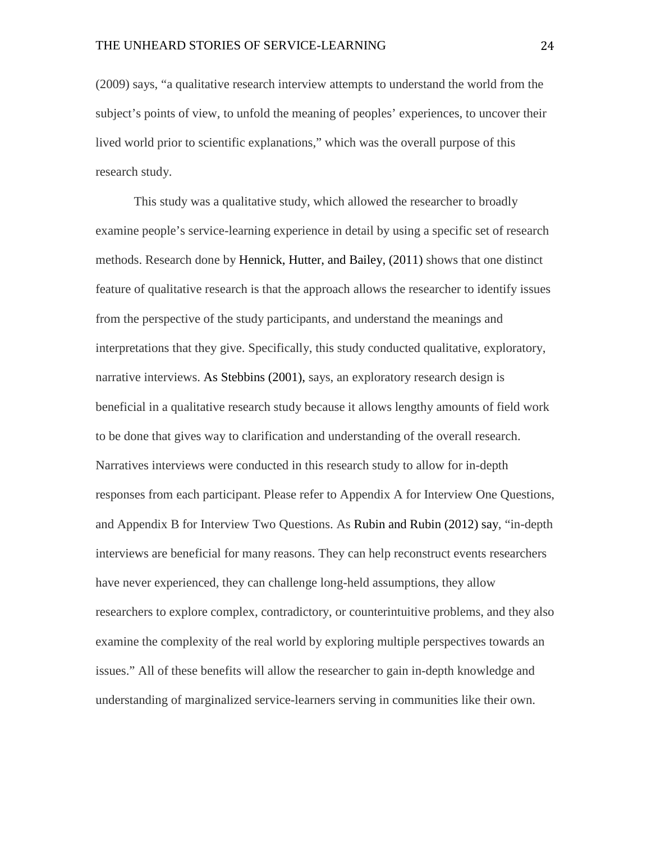(2009) says, "a qualitative research interview attempts to understand the world from the subject's points of view, to unfold the meaning of peoples' experiences, to uncover their lived world prior to scientific explanations," which was the overall purpose of this research study.

This study was a qualitative study, which allowed the researcher to broadly examine people's service-learning experience in detail by using a specific set of research methods. Research done by Hennick, Hutter, and Bailey, (2011) shows that one distinct feature of qualitative research is that the approach allows the researcher to identify issues from the perspective of the study participants, and understand the meanings and interpretations that they give. Specifically, this study conducted qualitative, exploratory, narrative interviews. As Stebbins (2001), says, an exploratory research design is beneficial in a qualitative research study because it allows lengthy amounts of field work to be done that gives way to clarification and understanding of the overall research. Narratives interviews were conducted in this research study to allow for in-depth responses from each participant. Please refer to Appendix A for Interview One Questions, and Appendix B for Interview Two Questions. As Rubin and Rubin (2012) say, "in-depth interviews are beneficial for many reasons. They can help reconstruct events researchers have never experienced, they can challenge long-held assumptions, they allow researchers to explore complex, contradictory, or counterintuitive problems, and they also examine the complexity of the real world by exploring multiple perspectives towards an issues." All of these benefits will allow the researcher to gain in-depth knowledge and understanding of marginalized service-learners serving in communities like their own.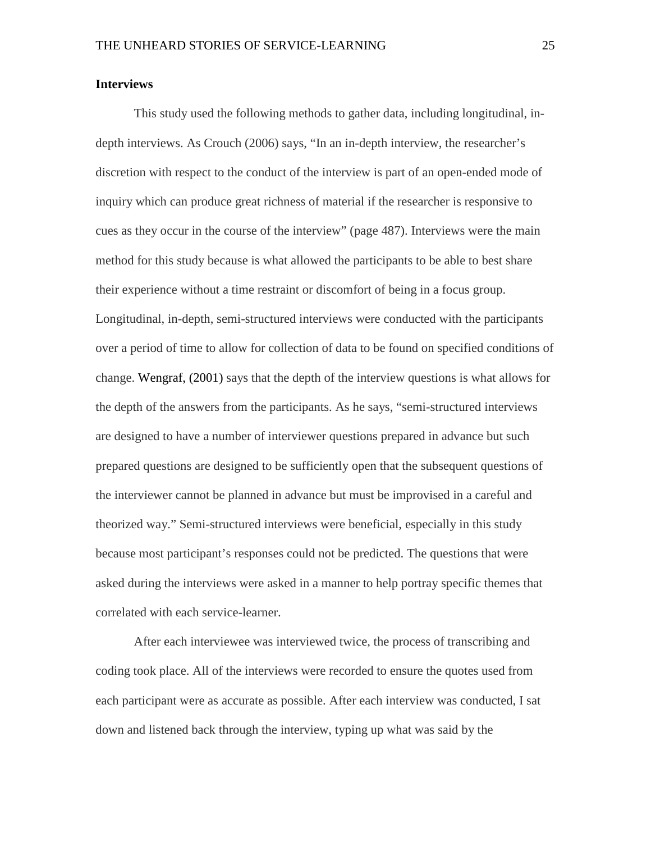#### <span id="page-25-0"></span>**Interviews**

This study used the following methods to gather data, including longitudinal, indepth interviews. As Crouch (2006) says, "In an in-depth interview, the researcher's discretion with respect to the conduct of the interview is part of an open-ended mode of inquiry which can produce great richness of material if the researcher is responsive to cues as they occur in the course of the interview" (page 487). Interviews were the main method for this study because is what allowed the participants to be able to best share their experience without a time restraint or discomfort of being in a focus group. Longitudinal, in-depth, semi-structured interviews were conducted with the participants over a period of time to allow for collection of data to be found on specified conditions of change. Wengraf, (2001) says that the depth of the interview questions is what allows for the depth of the answers from the participants. As he says, "semi-structured interviews are designed to have a number of interviewer questions prepared in advance but such prepared questions are designed to be sufficiently open that the subsequent questions of the interviewer cannot be planned in advance but must be improvised in a careful and theorized way." Semi-structured interviews were beneficial, especially in this study because most participant's responses could not be predicted. The questions that were asked during the interviews were asked in a manner to help portray specific themes that correlated with each service-learner.

After each interviewee was interviewed twice, the process of transcribing and coding took place. All of the interviews were recorded to ensure the quotes used from each participant were as accurate as possible. After each interview was conducted, I sat down and listened back through the interview, typing up what was said by the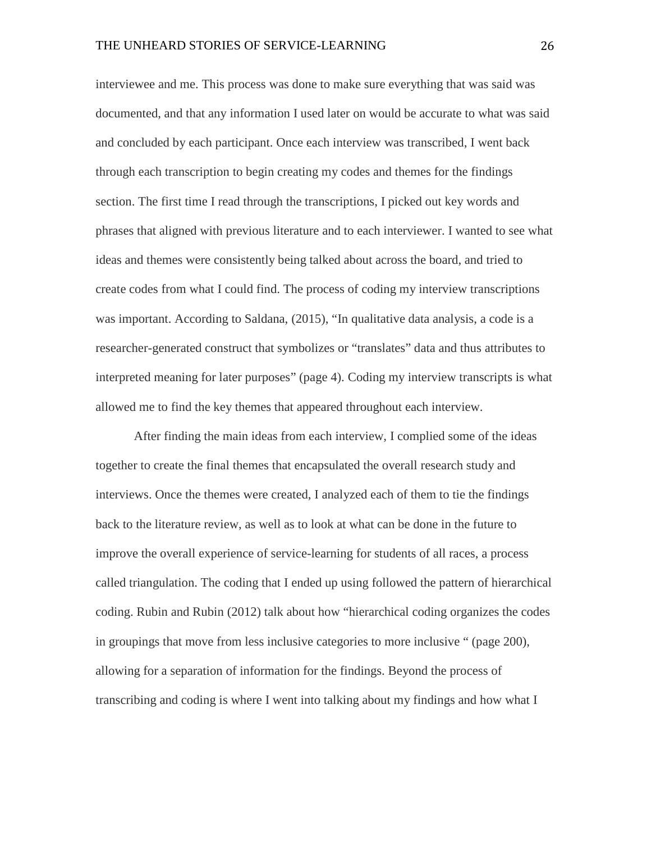interviewee and me. This process was done to make sure everything that was said was documented, and that any information I used later on would be accurate to what was said and concluded by each participant. Once each interview was transcribed, I went back through each transcription to begin creating my codes and themes for the findings section. The first time I read through the transcriptions, I picked out key words and phrases that aligned with previous literature and to each interviewer. I wanted to see what ideas and themes were consistently being talked about across the board, and tried to create codes from what I could find. The process of coding my interview transcriptions was important. According to Saldana, (2015), "In qualitative data analysis, a code is a researcher-generated construct that symbolizes or "translates" data and thus attributes to interpreted meaning for later purposes" (page 4). Coding my interview transcripts is what allowed me to find the key themes that appeared throughout each interview.

After finding the main ideas from each interview, I complied some of the ideas together to create the final themes that encapsulated the overall research study and interviews. Once the themes were created, I analyzed each of them to tie the findings back to the literature review, as well as to look at what can be done in the future to improve the overall experience of service-learning for students of all races, a process called triangulation. The coding that I ended up using followed the pattern of hierarchical coding. Rubin and Rubin (2012) talk about how "hierarchical coding organizes the codes in groupings that move from less inclusive categories to more inclusive " (page 200), allowing for a separation of information for the findings. Beyond the process of transcribing and coding is where I went into talking about my findings and how what I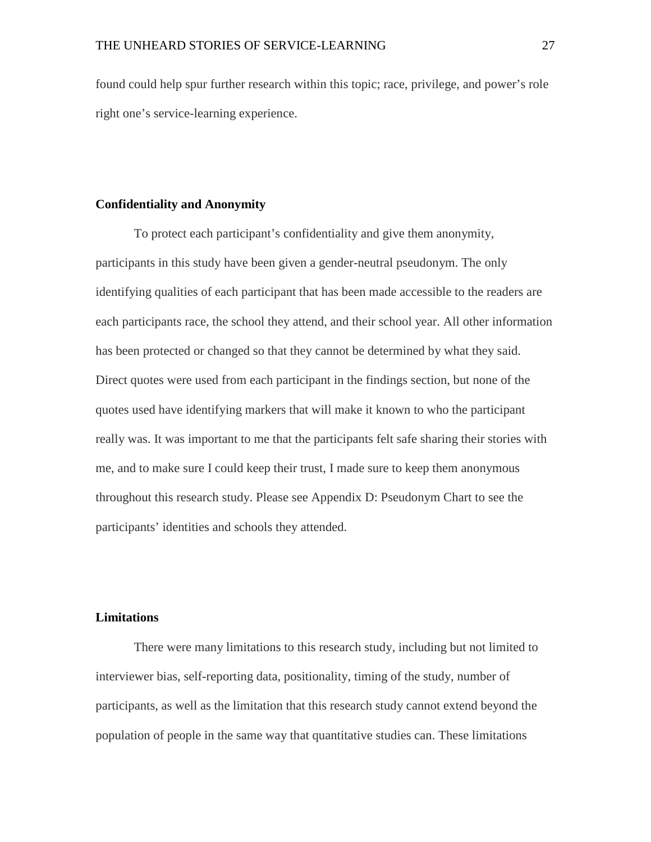found could help spur further research within this topic; race, privilege, and power's role right one's service-learning experience.

#### <span id="page-27-0"></span>**Confidentiality and Anonymity**

To protect each participant's confidentiality and give them anonymity, participants in this study have been given a gender-neutral pseudonym. The only identifying qualities of each participant that has been made accessible to the readers are each participants race, the school they attend, and their school year. All other information has been protected or changed so that they cannot be determined by what they said. Direct quotes were used from each participant in the findings section, but none of the quotes used have identifying markers that will make it known to who the participant really was. It was important to me that the participants felt safe sharing their stories with me, and to make sure I could keep their trust, I made sure to keep them anonymous throughout this research study. Please see Appendix D: Pseudonym Chart to see the participants' identities and schools they attended.

#### <span id="page-27-1"></span>**Limitations**

There were many limitations to this research study, including but not limited to interviewer bias, self-reporting data, positionality, timing of the study, number of participants, as well as the limitation that this research study cannot extend beyond the population of people in the same way that quantitative studies can. These limitations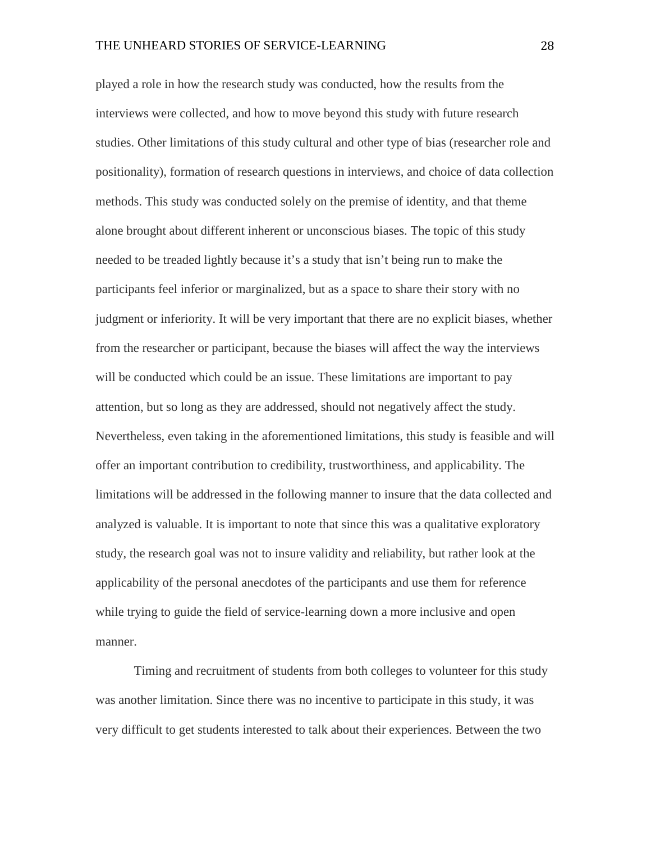played a role in how the research study was conducted, how the results from the interviews were collected, and how to move beyond this study with future research studies. Other limitations of this study cultural and other type of bias (researcher role and positionality), formation of research questions in interviews, and choice of data collection methods. This study was conducted solely on the premise of identity, and that theme alone brought about different inherent or unconscious biases. The topic of this study needed to be treaded lightly because it's a study that isn't being run to make the participants feel inferior or marginalized, but as a space to share their story with no judgment or inferiority. It will be very important that there are no explicit biases, whether from the researcher or participant, because the biases will affect the way the interviews will be conducted which could be an issue. These limitations are important to pay attention, but so long as they are addressed, should not negatively affect the study. Nevertheless, even taking in the aforementioned limitations, this study is feasible and will offer an important contribution to credibility, trustworthiness, and applicability. The limitations will be addressed in the following manner to insure that the data collected and analyzed is valuable. It is important to note that since this was a qualitative exploratory study, the research goal was not to insure validity and reliability, but rather look at the applicability of the personal anecdotes of the participants and use them for reference while trying to guide the field of service-learning down a more inclusive and open manner.

Timing and recruitment of students from both colleges to volunteer for this study was another limitation. Since there was no incentive to participate in this study, it was very difficult to get students interested to talk about their experiences. Between the two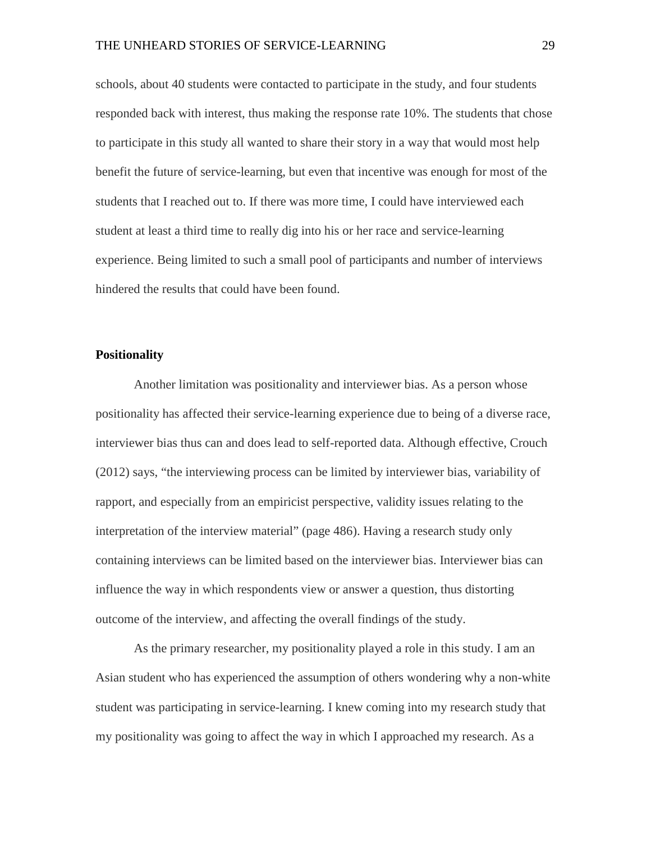schools, about 40 students were contacted to participate in the study, and four students responded back with interest, thus making the response rate 10%. The students that chose to participate in this study all wanted to share their story in a way that would most help benefit the future of service-learning, but even that incentive was enough for most of the students that I reached out to. If there was more time, I could have interviewed each student at least a third time to really dig into his or her race and service-learning experience. Being limited to such a small pool of participants and number of interviews hindered the results that could have been found.

#### <span id="page-29-0"></span>**Positionality**

Another limitation was positionality and interviewer bias. As a person whose positionality has affected their service-learning experience due to being of a diverse race, interviewer bias thus can and does lead to self-reported data. Although effective, Crouch (2012) says, "the interviewing process can be limited by interviewer bias, variability of rapport, and especially from an empiricist perspective, validity issues relating to the interpretation of the interview material" (page 486). Having a research study only containing interviews can be limited based on the interviewer bias. Interviewer bias can influence the way in which respondents view or answer a question, thus distorting outcome of the interview, and affecting the overall findings of the study.

As the primary researcher, my positionality played a role in this study. I am an Asian student who has experienced the assumption of others wondering why a non-white student was participating in service-learning. I knew coming into my research study that my positionality was going to affect the way in which I approached my research. As a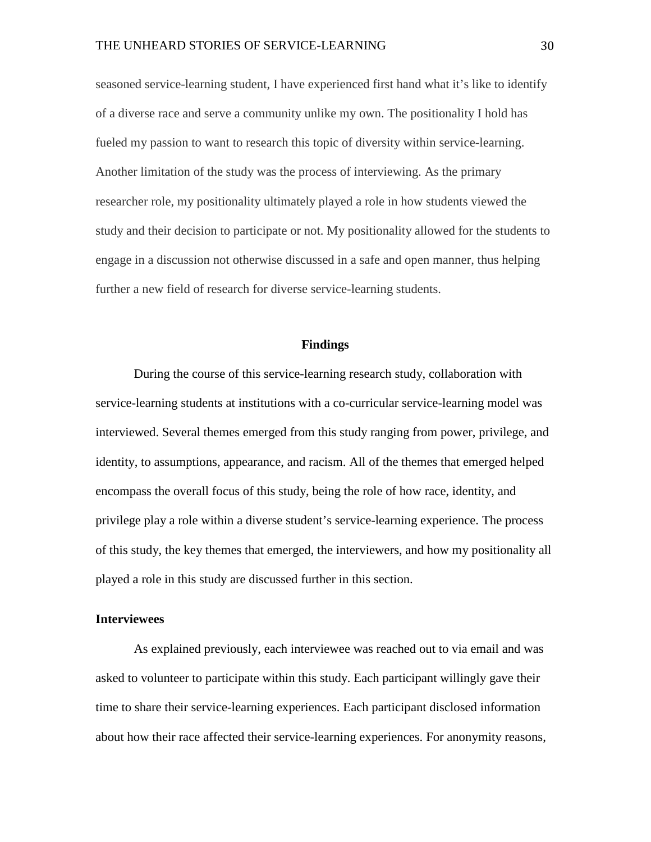seasoned service-learning student, I have experienced first hand what it's like to identify of a diverse race and serve a community unlike my own. The positionality I hold has fueled my passion to want to research this topic of diversity within service-learning. Another limitation of the study was the process of interviewing. As the primary researcher role, my positionality ultimately played a role in how students viewed the study and their decision to participate or not. My positionality allowed for the students to engage in a discussion not otherwise discussed in a safe and open manner, thus helping further a new field of research for diverse service-learning students.

#### **Findings**

<span id="page-30-0"></span>During the course of this service-learning research study, collaboration with service-learning students at institutions with a co-curricular service-learning model was interviewed. Several themes emerged from this study ranging from power, privilege, and identity, to assumptions, appearance, and racism. All of the themes that emerged helped encompass the overall focus of this study, being the role of how race, identity, and privilege play a role within a diverse student's service-learning experience. The process of this study, the key themes that emerged, the interviewers, and how my positionality all played a role in this study are discussed further in this section.

#### <span id="page-30-1"></span>**Interviewees**

As explained previously, each interviewee was reached out to via email and was asked to volunteer to participate within this study. Each participant willingly gave their time to share their service-learning experiences. Each participant disclosed information about how their race affected their service-learning experiences. For anonymity reasons,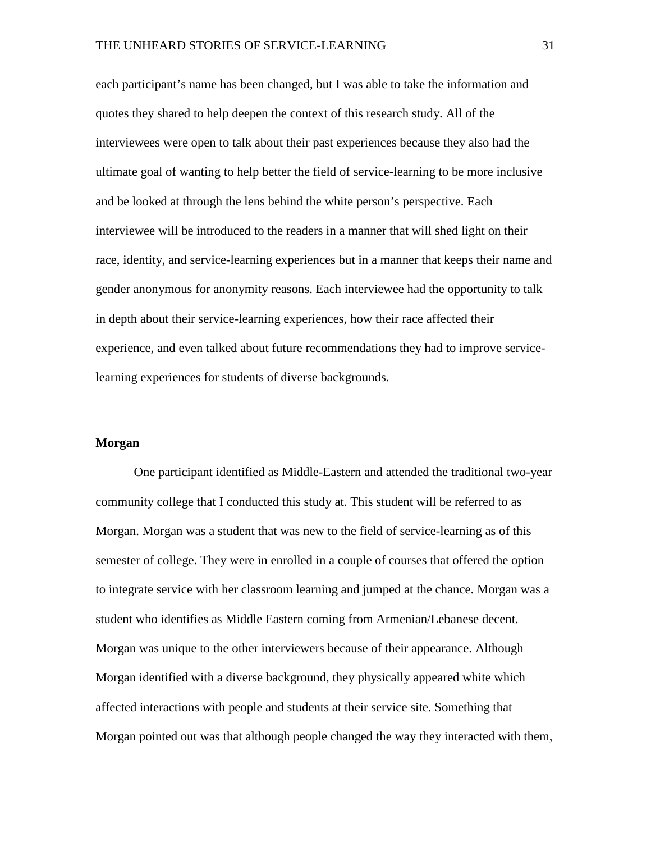each participant's name has been changed, but I was able to take the information and quotes they shared to help deepen the context of this research study. All of the interviewees were open to talk about their past experiences because they also had the ultimate goal of wanting to help better the field of service-learning to be more inclusive and be looked at through the lens behind the white person's perspective. Each interviewee will be introduced to the readers in a manner that will shed light on their race, identity, and service-learning experiences but in a manner that keeps their name and gender anonymous for anonymity reasons. Each interviewee had the opportunity to talk in depth about their service-learning experiences, how their race affected their experience, and even talked about future recommendations they had to improve servicelearning experiences for students of diverse backgrounds.

#### <span id="page-31-0"></span>**Morgan**

One participant identified as Middle-Eastern and attended the traditional two-year community college that I conducted this study at. This student will be referred to as Morgan. Morgan was a student that was new to the field of service-learning as of this semester of college. They were in enrolled in a couple of courses that offered the option to integrate service with her classroom learning and jumped at the chance. Morgan was a student who identifies as Middle Eastern coming from Armenian/Lebanese decent. Morgan was unique to the other interviewers because of their appearance. Although Morgan identified with a diverse background, they physically appeared white which affected interactions with people and students at their service site. Something that Morgan pointed out was that although people changed the way they interacted with them,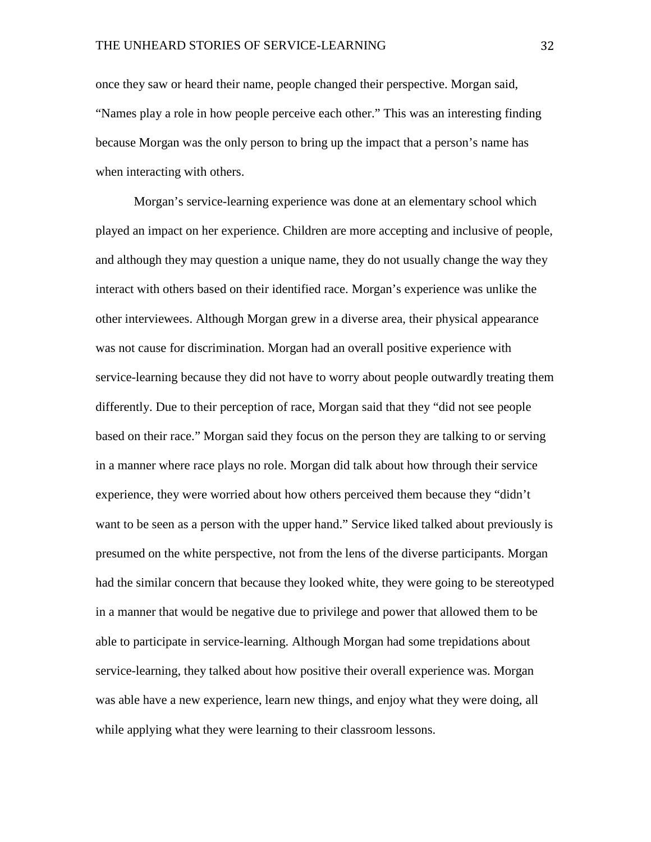once they saw or heard their name, people changed their perspective. Morgan said, "Names play a role in how people perceive each other." This was an interesting finding because Morgan was the only person to bring up the impact that a person's name has when interacting with others.

Morgan's service-learning experience was done at an elementary school which played an impact on her experience. Children are more accepting and inclusive of people, and although they may question a unique name, they do not usually change the way they interact with others based on their identified race. Morgan's experience was unlike the other interviewees. Although Morgan grew in a diverse area, their physical appearance was not cause for discrimination. Morgan had an overall positive experience with service-learning because they did not have to worry about people outwardly treating them differently. Due to their perception of race, Morgan said that they "did not see people based on their race." Morgan said they focus on the person they are talking to or serving in a manner where race plays no role. Morgan did talk about how through their service experience, they were worried about how others perceived them because they "didn't want to be seen as a person with the upper hand." Service liked talked about previously is presumed on the white perspective, not from the lens of the diverse participants. Morgan had the similar concern that because they looked white, they were going to be stereotyped in a manner that would be negative due to privilege and power that allowed them to be able to participate in service-learning. Although Morgan had some trepidations about service-learning, they talked about how positive their overall experience was. Morgan was able have a new experience, learn new things, and enjoy what they were doing, all while applying what they were learning to their classroom lessons.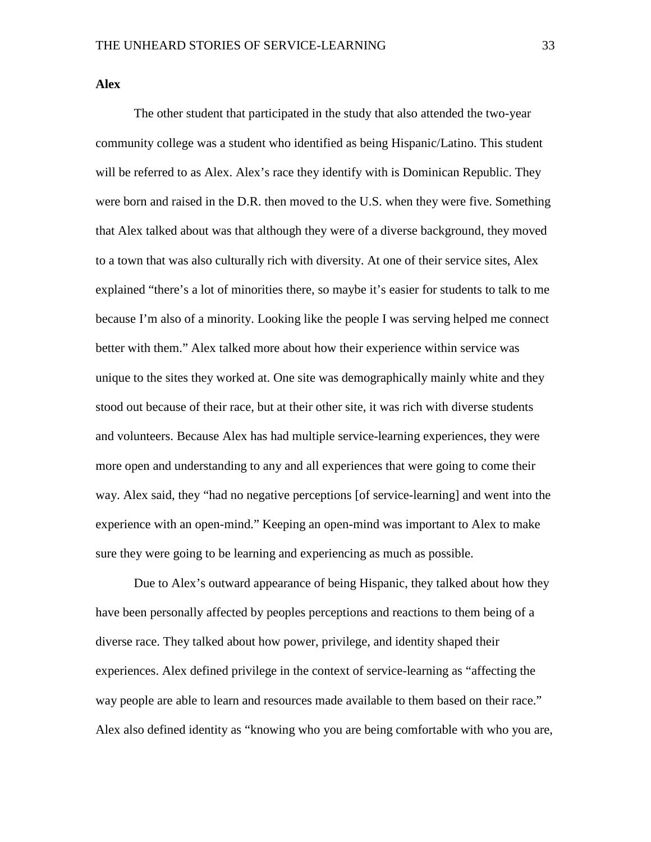<span id="page-33-0"></span>**Alex**

The other student that participated in the study that also attended the two-year community college was a student who identified as being Hispanic/Latino. This student will be referred to as Alex. Alex's race they identify with is Dominican Republic. They were born and raised in the D.R. then moved to the U.S. when they were five. Something that Alex talked about was that although they were of a diverse background, they moved to a town that was also culturally rich with diversity. At one of their service sites, Alex explained "there's a lot of minorities there, so maybe it's easier for students to talk to me because I'm also of a minority. Looking like the people I was serving helped me connect better with them." Alex talked more about how their experience within service was unique to the sites they worked at. One site was demographically mainly white and they stood out because of their race, but at their other site, it was rich with diverse students and volunteers. Because Alex has had multiple service-learning experiences, they were more open and understanding to any and all experiences that were going to come their way. Alex said, they "had no negative perceptions [of service-learning] and went into the experience with an open-mind." Keeping an open-mind was important to Alex to make sure they were going to be learning and experiencing as much as possible.

Due to Alex's outward appearance of being Hispanic, they talked about how they have been personally affected by peoples perceptions and reactions to them being of a diverse race. They talked about how power, privilege, and identity shaped their experiences. Alex defined privilege in the context of service-learning as "affecting the way people are able to learn and resources made available to them based on their race." Alex also defined identity as "knowing who you are being comfortable with who you are,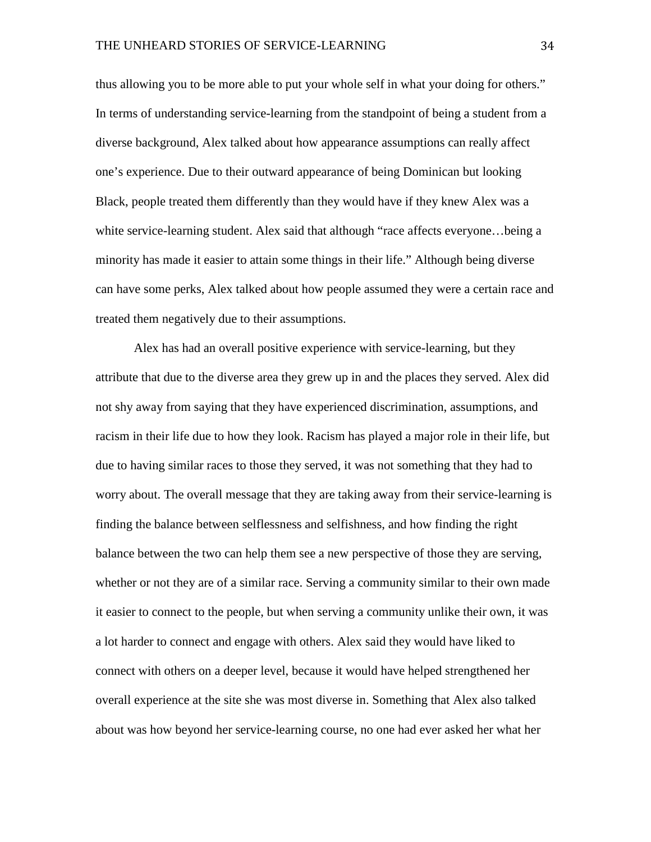thus allowing you to be more able to put your whole self in what your doing for others." In terms of understanding service-learning from the standpoint of being a student from a diverse background, Alex talked about how appearance assumptions can really affect one's experience. Due to their outward appearance of being Dominican but looking Black, people treated them differently than they would have if they knew Alex was a white service-learning student. Alex said that although "race affects everyone...being a minority has made it easier to attain some things in their life." Although being diverse can have some perks, Alex talked about how people assumed they were a certain race and treated them negatively due to their assumptions.

Alex has had an overall positive experience with service-learning, but they attribute that due to the diverse area they grew up in and the places they served. Alex did not shy away from saying that they have experienced discrimination, assumptions, and racism in their life due to how they look. Racism has played a major role in their life, but due to having similar races to those they served, it was not something that they had to worry about. The overall message that they are taking away from their service-learning is finding the balance between selflessness and selfishness, and how finding the right balance between the two can help them see a new perspective of those they are serving, whether or not they are of a similar race. Serving a community similar to their own made it easier to connect to the people, but when serving a community unlike their own, it was a lot harder to connect and engage with others. Alex said they would have liked to connect with others on a deeper level, because it would have helped strengthened her overall experience at the site she was most diverse in. Something that Alex also talked about was how beyond her service-learning course, no one had ever asked her what her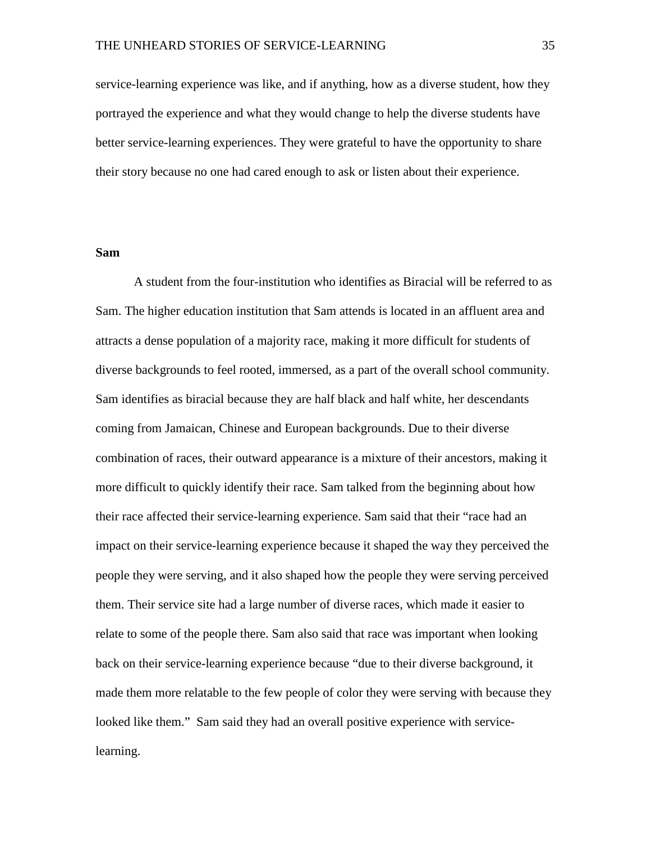service-learning experience was like, and if anything, how as a diverse student, how they portrayed the experience and what they would change to help the diverse students have better service-learning experiences. They were grateful to have the opportunity to share their story because no one had cared enough to ask or listen about their experience.

#### <span id="page-35-0"></span>**Sam**

A student from the four-institution who identifies as Biracial will be referred to as Sam. The higher education institution that Sam attends is located in an affluent area and attracts a dense population of a majority race, making it more difficult for students of diverse backgrounds to feel rooted, immersed, as a part of the overall school community. Sam identifies as biracial because they are half black and half white, her descendants coming from Jamaican, Chinese and European backgrounds. Due to their diverse combination of races, their outward appearance is a mixture of their ancestors, making it more difficult to quickly identify their race. Sam talked from the beginning about how their race affected their service-learning experience. Sam said that their "race had an impact on their service-learning experience because it shaped the way they perceived the people they were serving, and it also shaped how the people they were serving perceived them. Their service site had a large number of diverse races, which made it easier to relate to some of the people there. Sam also said that race was important when looking back on their service-learning experience because "due to their diverse background, it made them more relatable to the few people of color they were serving with because they looked like them." Sam said they had an overall positive experience with servicelearning.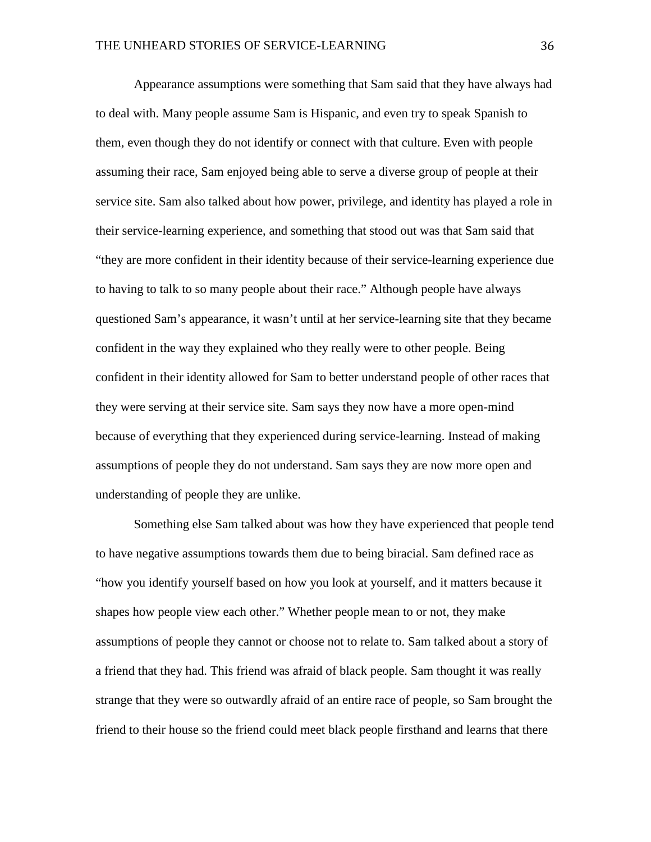Appearance assumptions were something that Sam said that they have always had to deal with. Many people assume Sam is Hispanic, and even try to speak Spanish to them, even though they do not identify or connect with that culture. Even with people assuming their race, Sam enjoyed being able to serve a diverse group of people at their service site. Sam also talked about how power, privilege, and identity has played a role in their service-learning experience, and something that stood out was that Sam said that "they are more confident in their identity because of their service-learning experience due to having to talk to so many people about their race." Although people have always questioned Sam's appearance, it wasn't until at her service-learning site that they became confident in the way they explained who they really were to other people. Being confident in their identity allowed for Sam to better understand people of other races that they were serving at their service site. Sam says they now have a more open-mind because of everything that they experienced during service-learning. Instead of making assumptions of people they do not understand. Sam says they are now more open and understanding of people they are unlike.

Something else Sam talked about was how they have experienced that people tend to have negative assumptions towards them due to being biracial. Sam defined race as "how you identify yourself based on how you look at yourself, and it matters because it shapes how people view each other." Whether people mean to or not, they make assumptions of people they cannot or choose not to relate to. Sam talked about a story of a friend that they had. This friend was afraid of black people. Sam thought it was really strange that they were so outwardly afraid of an entire race of people, so Sam brought the friend to their house so the friend could meet black people firsthand and learns that there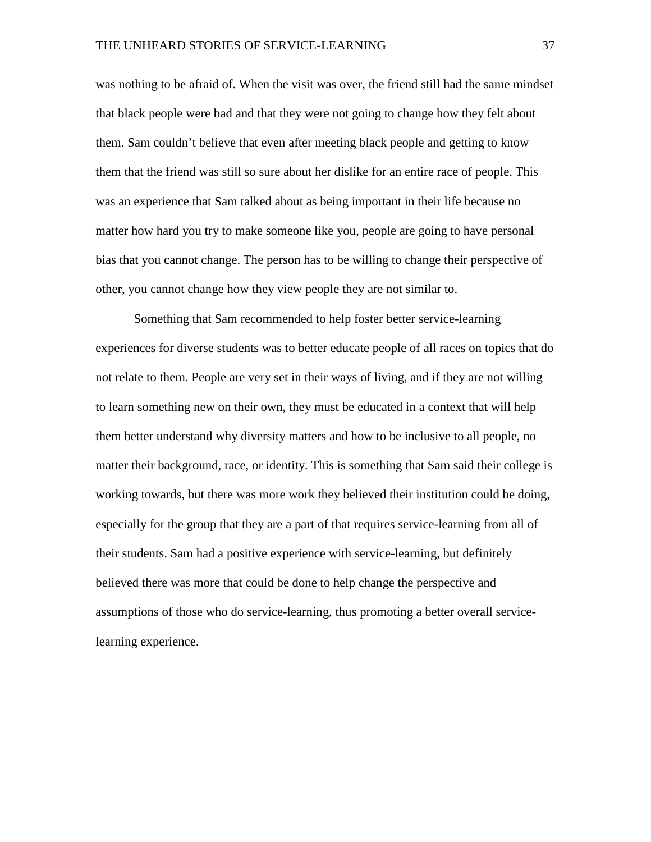was nothing to be afraid of. When the visit was over, the friend still had the same mindset that black people were bad and that they were not going to change how they felt about them. Sam couldn't believe that even after meeting black people and getting to know them that the friend was still so sure about her dislike for an entire race of people. This was an experience that Sam talked about as being important in their life because no matter how hard you try to make someone like you, people are going to have personal bias that you cannot change. The person has to be willing to change their perspective of other, you cannot change how they view people they are not similar to.

<span id="page-37-0"></span>Something that Sam recommended to help foster better service-learning experiences for diverse students was to better educate people of all races on topics that do not relate to them. People are very set in their ways of living, and if they are not willing to learn something new on their own, they must be educated in a context that will help them better understand why diversity matters and how to be inclusive to all people, no matter their background, race, or identity. This is something that Sam said their college is working towards, but there was more work they believed their institution could be doing, especially for the group that they are a part of that requires service-learning from all of their students. Sam had a positive experience with service-learning, but definitely believed there was more that could be done to help change the perspective and assumptions of those who do service-learning, thus promoting a better overall servicelearning experience.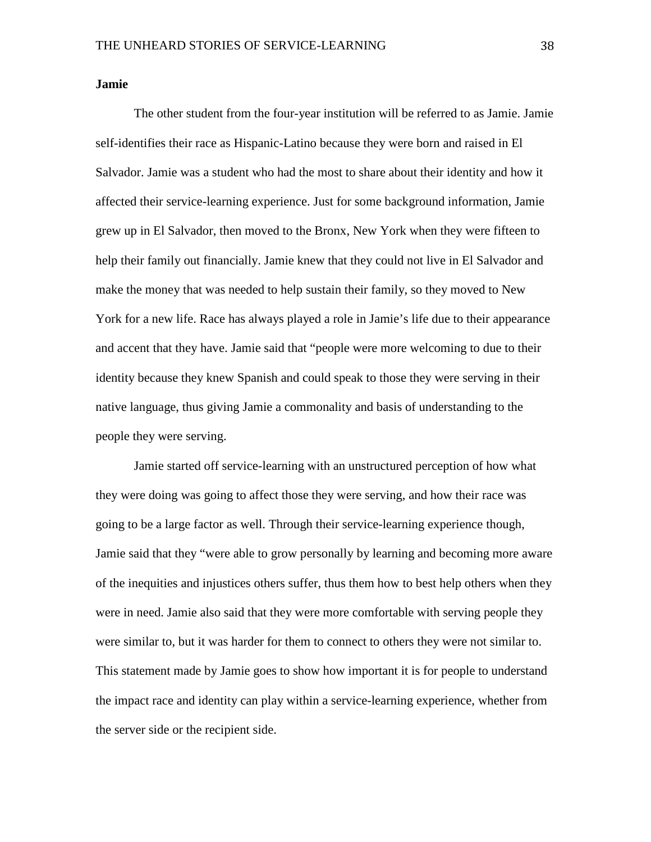#### **Jamie**

The other student from the four-year institution will be referred to as Jamie. Jamie self-identifies their race as Hispanic-Latino because they were born and raised in El Salvador. Jamie was a student who had the most to share about their identity and how it affected their service-learning experience. Just for some background information, Jamie grew up in El Salvador, then moved to the Bronx, New York when they were fifteen to help their family out financially. Jamie knew that they could not live in El Salvador and make the money that was needed to help sustain their family, so they moved to New York for a new life. Race has always played a role in Jamie's life due to their appearance and accent that they have. Jamie said that "people were more welcoming to due to their identity because they knew Spanish and could speak to those they were serving in their native language, thus giving Jamie a commonality and basis of understanding to the people they were serving.

Jamie started off service-learning with an unstructured perception of how what they were doing was going to affect those they were serving, and how their race was going to be a large factor as well. Through their service-learning experience though, Jamie said that they "were able to grow personally by learning and becoming more aware of the inequities and injustices others suffer, thus them how to best help others when they were in need. Jamie also said that they were more comfortable with serving people they were similar to, but it was harder for them to connect to others they were not similar to. This statement made by Jamie goes to show how important it is for people to understand the impact race and identity can play within a service-learning experience, whether from the server side or the recipient side.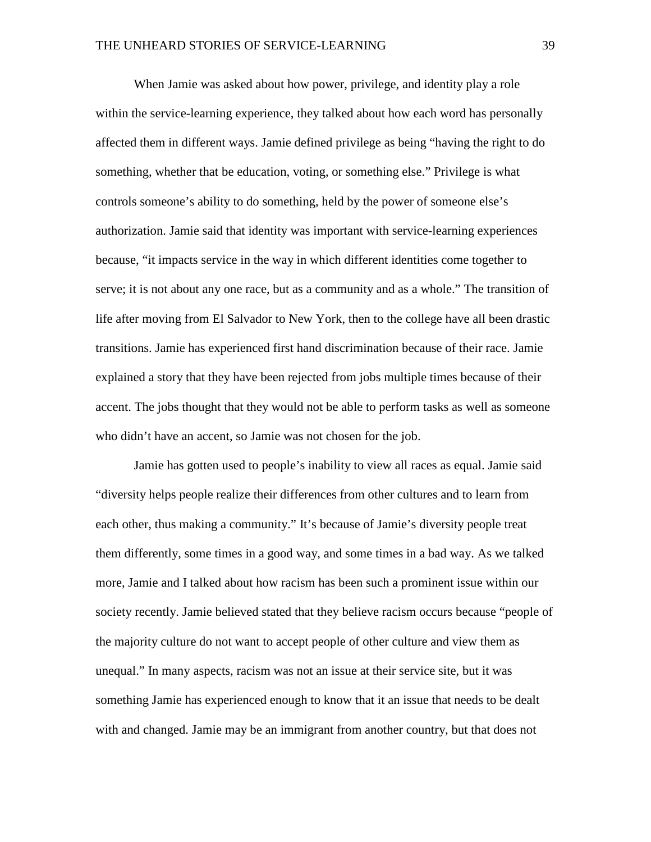When Jamie was asked about how power, privilege, and identity play a role within the service-learning experience, they talked about how each word has personally affected them in different ways. Jamie defined privilege as being "having the right to do something, whether that be education, voting, or something else." Privilege is what controls someone's ability to do something, held by the power of someone else's authorization. Jamie said that identity was important with service-learning experiences because, "it impacts service in the way in which different identities come together to serve; it is not about any one race, but as a community and as a whole." The transition of life after moving from El Salvador to New York, then to the college have all been drastic transitions. Jamie has experienced first hand discrimination because of their race. Jamie explained a story that they have been rejected from jobs multiple times because of their accent. The jobs thought that they would not be able to perform tasks as well as someone who didn't have an accent, so Jamie was not chosen for the job.

Jamie has gotten used to people's inability to view all races as equal. Jamie said "diversity helps people realize their differences from other cultures and to learn from each other, thus making a community." It's because of Jamie's diversity people treat them differently, some times in a good way, and some times in a bad way. As we talked more, Jamie and I talked about how racism has been such a prominent issue within our society recently. Jamie believed stated that they believe racism occurs because "people of the majority culture do not want to accept people of other culture and view them as unequal." In many aspects, racism was not an issue at their service site, but it was something Jamie has experienced enough to know that it an issue that needs to be dealt with and changed. Jamie may be an immigrant from another country, but that does not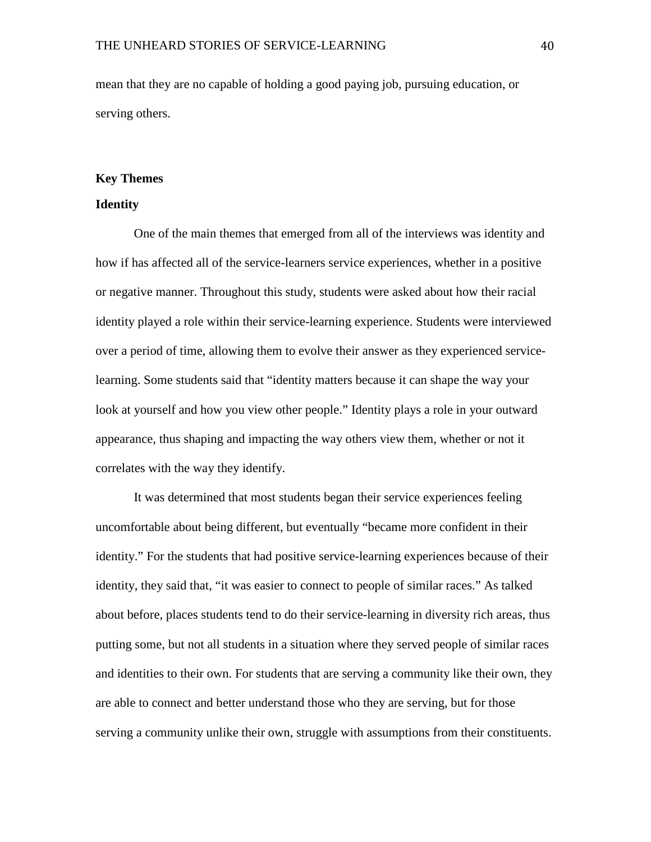mean that they are no capable of holding a good paying job, pursuing education, or serving others.

#### <span id="page-40-0"></span>**Key Themes**

#### <span id="page-40-1"></span>**Identity**

One of the main themes that emerged from all of the interviews was identity and how if has affected all of the service-learners service experiences, whether in a positive or negative manner. Throughout this study, students were asked about how their racial identity played a role within their service-learning experience. Students were interviewed over a period of time, allowing them to evolve their answer as they experienced servicelearning. Some students said that "identity matters because it can shape the way your look at yourself and how you view other people." Identity plays a role in your outward appearance, thus shaping and impacting the way others view them, whether or not it correlates with the way they identify.

It was determined that most students began their service experiences feeling uncomfortable about being different, but eventually "became more confident in their identity." For the students that had positive service-learning experiences because of their identity, they said that, "it was easier to connect to people of similar races." As talked about before, places students tend to do their service-learning in diversity rich areas, thus putting some, but not all students in a situation where they served people of similar races and identities to their own. For students that are serving a community like their own, they are able to connect and better understand those who they are serving, but for those serving a community unlike their own, struggle with assumptions from their constituents.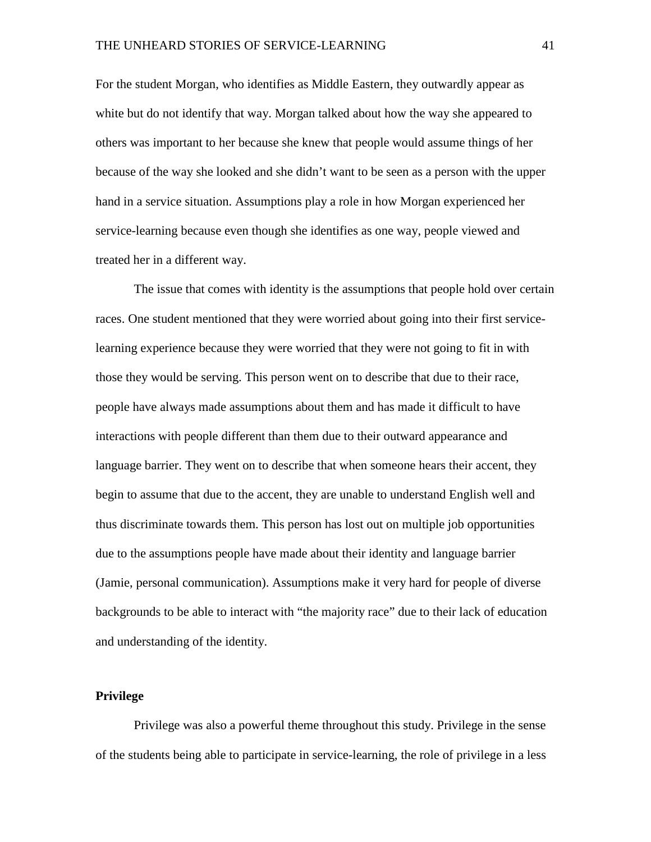For the student Morgan, who identifies as Middle Eastern, they outwardly appear as white but do not identify that way. Morgan talked about how the way she appeared to others was important to her because she knew that people would assume things of her because of the way she looked and she didn't want to be seen as a person with the upper hand in a service situation. Assumptions play a role in how Morgan experienced her service-learning because even though she identifies as one way, people viewed and treated her in a different way.

The issue that comes with identity is the assumptions that people hold over certain races. One student mentioned that they were worried about going into their first servicelearning experience because they were worried that they were not going to fit in with those they would be serving. This person went on to describe that due to their race, people have always made assumptions about them and has made it difficult to have interactions with people different than them due to their outward appearance and language barrier. They went on to describe that when someone hears their accent, they begin to assume that due to the accent, they are unable to understand English well and thus discriminate towards them. This person has lost out on multiple job opportunities due to the assumptions people have made about their identity and language barrier (Jamie, personal communication). Assumptions make it very hard for people of diverse backgrounds to be able to interact with "the majority race" due to their lack of education and understanding of the identity.

#### <span id="page-41-0"></span>**Privilege**

Privilege was also a powerful theme throughout this study. Privilege in the sense of the students being able to participate in service-learning, the role of privilege in a less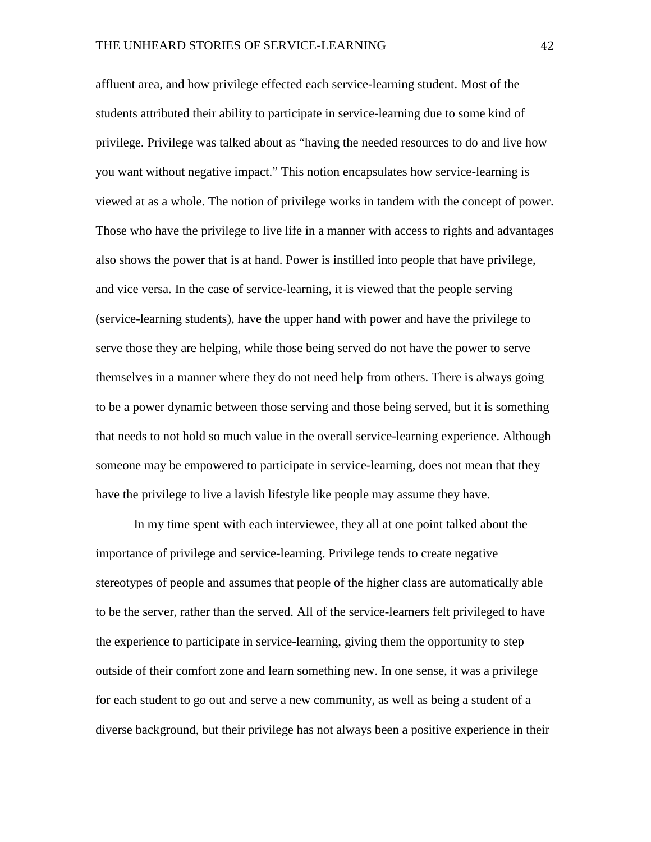affluent area, and how privilege effected each service-learning student. Most of the students attributed their ability to participate in service-learning due to some kind of privilege. Privilege was talked about as "having the needed resources to do and live how you want without negative impact." This notion encapsulates how service-learning is viewed at as a whole. The notion of privilege works in tandem with the concept of power. Those who have the privilege to live life in a manner with access to rights and advantages also shows the power that is at hand. Power is instilled into people that have privilege, and vice versa. In the case of service-learning, it is viewed that the people serving (service-learning students), have the upper hand with power and have the privilege to serve those they are helping, while those being served do not have the power to serve themselves in a manner where they do not need help from others. There is always going to be a power dynamic between those serving and those being served, but it is something that needs to not hold so much value in the overall service-learning experience. Although someone may be empowered to participate in service-learning, does not mean that they have the privilege to live a lavish lifestyle like people may assume they have.

In my time spent with each interviewee, they all at one point talked about the importance of privilege and service-learning. Privilege tends to create negative stereotypes of people and assumes that people of the higher class are automatically able to be the server, rather than the served. All of the service-learners felt privileged to have the experience to participate in service-learning, giving them the opportunity to step outside of their comfort zone and learn something new. In one sense, it was a privilege for each student to go out and serve a new community, as well as being a student of a diverse background, but their privilege has not always been a positive experience in their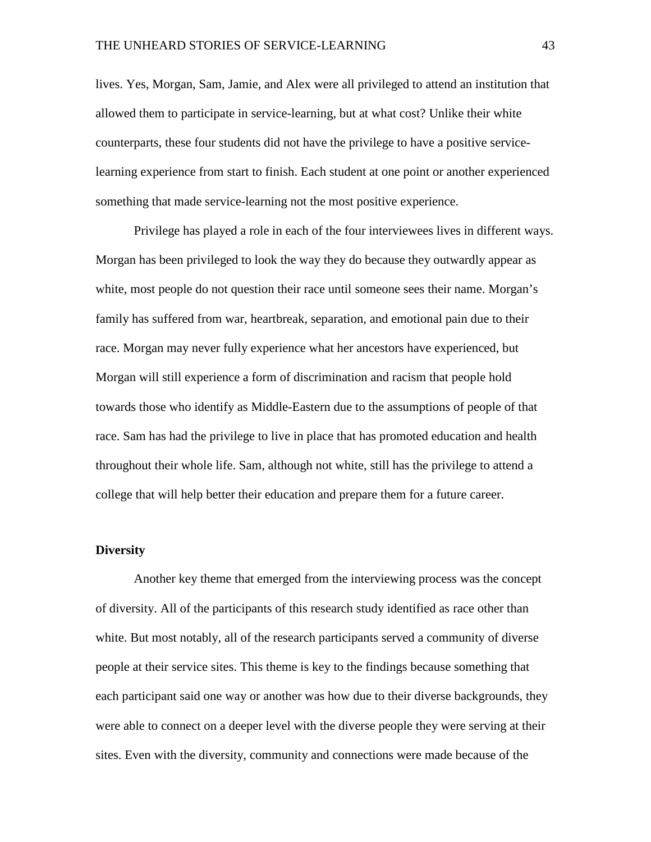lives. Yes, Morgan, Sam, Jamie, and Alex were all privileged to attend an institution that allowed them to participate in service-learning, but at what cost? Unlike their white counterparts, these four students did not have the privilege to have a positive servicelearning experience from start to finish. Each student at one point or another experienced something that made service-learning not the most positive experience.

Privilege has played a role in each of the four interviewees lives in different ways. Morgan has been privileged to look the way they do because they outwardly appear as white, most people do not question their race until someone sees their name. Morgan's family has suffered from war, heartbreak, separation, and emotional pain due to their race. Morgan may never fully experience what her ancestors have experienced, but Morgan will still experience a form of discrimination and racism that people hold towards those who identify as Middle-Eastern due to the assumptions of people of that race. Sam has had the privilege to live in place that has promoted education and health throughout their whole life. Sam, although not white, still has the privilege to attend a college that will help better their education and prepare them for a future career.

#### <span id="page-43-0"></span>**Diversity**

Another key theme that emerged from the interviewing process was the concept of diversity. All of the participants of this research study identified as race other than white. But most notably, all of the research participants served a community of diverse people at their service sites. This theme is key to the findings because something that each participant said one way or another was how due to their diverse backgrounds, they were able to connect on a deeper level with the diverse people they were serving at their sites. Even with the diversity, community and connections were made because of the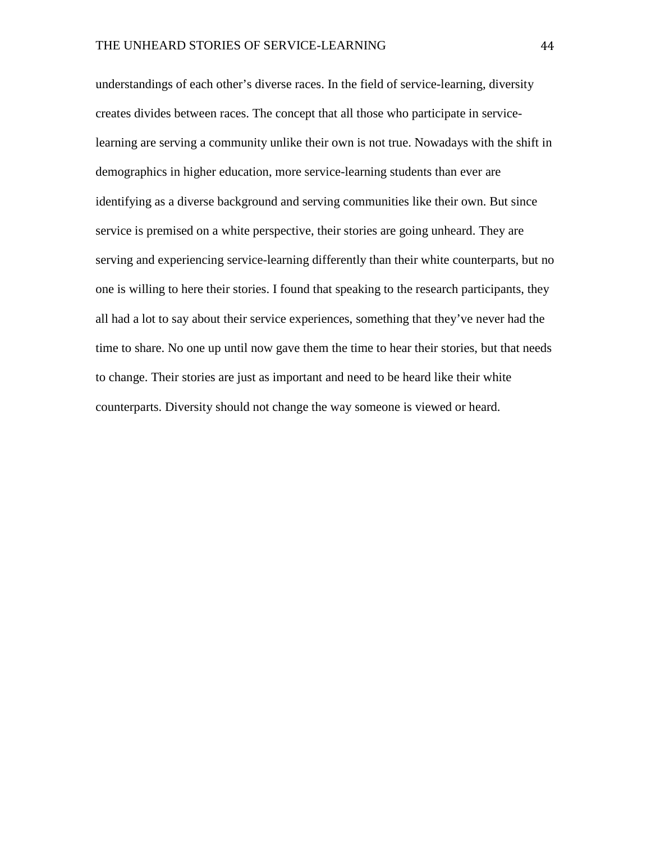understandings of each other's diverse races. In the field of service-learning, diversity creates divides between races. The concept that all those who participate in servicelearning are serving a community unlike their own is not true. Nowadays with the shift in demographics in higher education, more service-learning students than ever are identifying as a diverse background and serving communities like their own. But since service is premised on a white perspective, their stories are going unheard. They are serving and experiencing service-learning differently than their white counterparts, but no one is willing to here their stories. I found that speaking to the research participants, they all had a lot to say about their service experiences, something that they've never had the time to share. No one up until now gave them the time to hear their stories, but that needs to change. Their stories are just as important and need to be heard like their white counterparts. Diversity should not change the way someone is viewed or heard.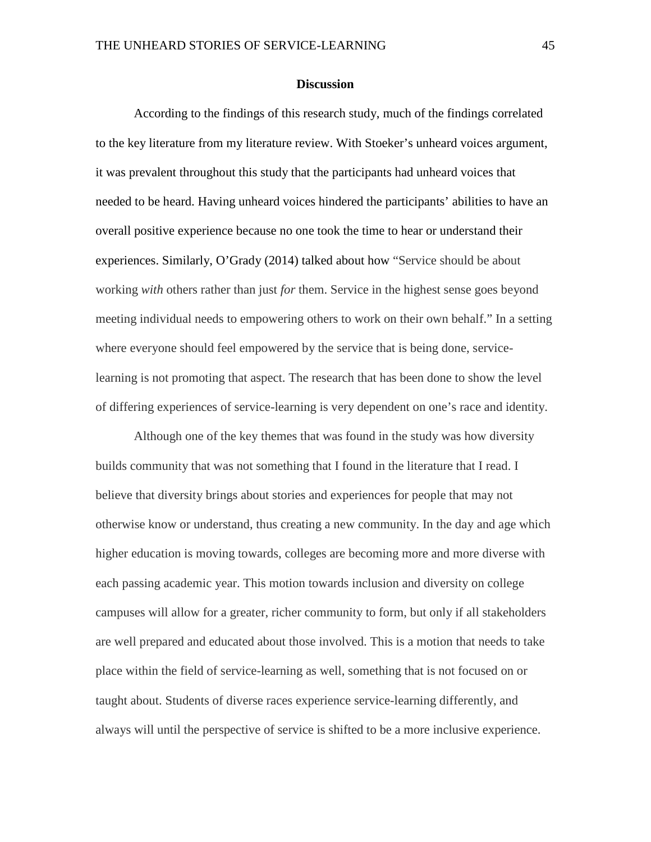#### **Discussion**

<span id="page-45-0"></span>According to the findings of this research study, much of the findings correlated to the key literature from my literature review. With Stoeker's unheard voices argument, it was prevalent throughout this study that the participants had unheard voices that needed to be heard. Having unheard voices hindered the participants' abilities to have an overall positive experience because no one took the time to hear or understand their experiences. Similarly, O'Grady (2014) talked about how "Service should be about working *with* others rather than just *for* them. Service in the highest sense goes beyond meeting individual needs to empowering others to work on their own behalf." In a setting where everyone should feel empowered by the service that is being done, servicelearning is not promoting that aspect. The research that has been done to show the level of differing experiences of service-learning is very dependent on one's race and identity.

Although one of the key themes that was found in the study was how diversity builds community that was not something that I found in the literature that I read. I believe that diversity brings about stories and experiences for people that may not otherwise know or understand, thus creating a new community. In the day and age which higher education is moving towards, colleges are becoming more and more diverse with each passing academic year. This motion towards inclusion and diversity on college campuses will allow for a greater, richer community to form, but only if all stakeholders are well prepared and educated about those involved. This is a motion that needs to take place within the field of service-learning as well, something that is not focused on or taught about. Students of diverse races experience service-learning differently, and always will until the perspective of service is shifted to be a more inclusive experience.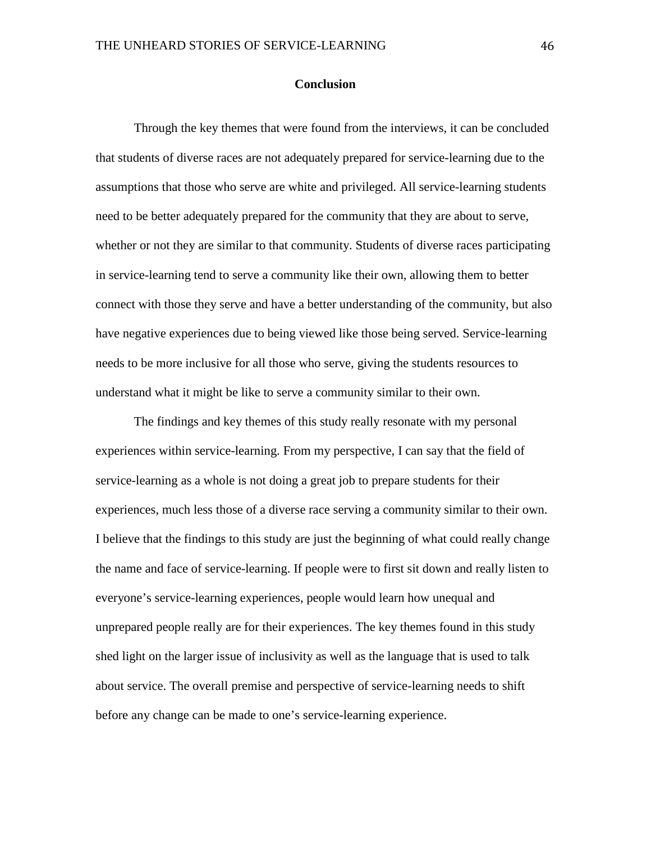#### **Conclusion**

<span id="page-46-0"></span>Through the key themes that were found from the interviews, it can be concluded that students of diverse races are not adequately prepared for service-learning due to the assumptions that those who serve are white and privileged. All service-learning students need to be better adequately prepared for the community that they are about to serve, whether or not they are similar to that community. Students of diverse races participating in service-learning tend to serve a community like their own, allowing them to better connect with those they serve and have a better understanding of the community, but also have negative experiences due to being viewed like those being served. Service-learning needs to be more inclusive for all those who serve, giving the students resources to understand what it might be like to serve a community similar to their own.

The findings and key themes of this study really resonate with my personal experiences within service-learning. From my perspective, I can say that the field of service-learning as a whole is not doing a great job to prepare students for their experiences, much less those of a diverse race serving a community similar to their own. I believe that the findings to this study are just the beginning of what could really change the name and face of service-learning. If people were to first sit down and really listen to everyone's service-learning experiences, people would learn how unequal and unprepared people really are for their experiences. The key themes found in this study shed light on the larger issue of inclusivity as well as the language that is used to talk about service. The overall premise and perspective of service-learning needs to shift before any change can be made to one's service-learning experience.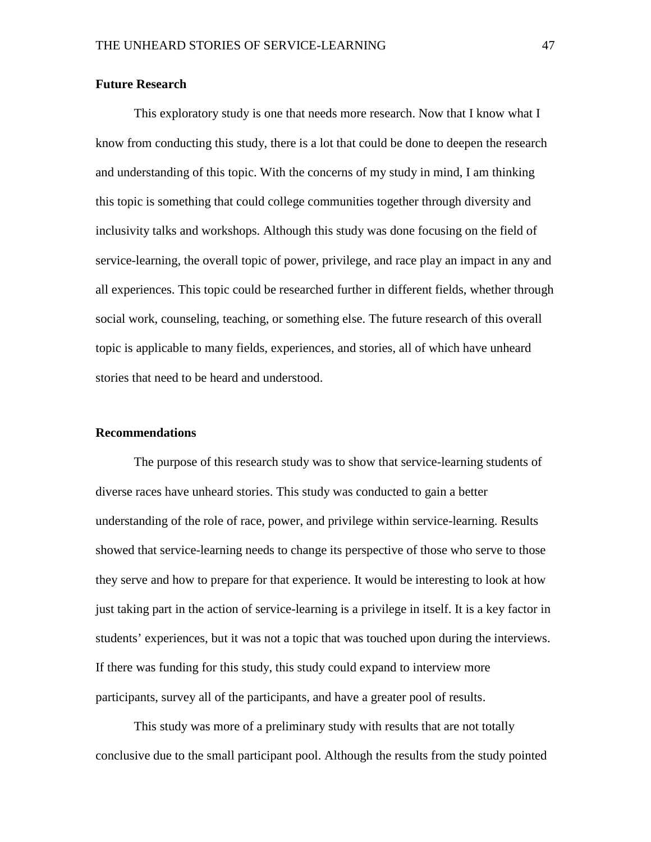#### <span id="page-47-0"></span>**Future Research**

This exploratory study is one that needs more research. Now that I know what I know from conducting this study, there is a lot that could be done to deepen the research and understanding of this topic. With the concerns of my study in mind, I am thinking this topic is something that could college communities together through diversity and inclusivity talks and workshops. Although this study was done focusing on the field of service-learning, the overall topic of power, privilege, and race play an impact in any and all experiences. This topic could be researched further in different fields, whether through social work, counseling, teaching, or something else. The future research of this overall topic is applicable to many fields, experiences, and stories, all of which have unheard stories that need to be heard and understood.

#### <span id="page-47-1"></span>**Recommendations**

The purpose of this research study was to show that service-learning students of diverse races have unheard stories. This study was conducted to gain a better understanding of the role of race, power, and privilege within service-learning. Results showed that service-learning needs to change its perspective of those who serve to those they serve and how to prepare for that experience. It would be interesting to look at how just taking part in the action of service-learning is a privilege in itself. It is a key factor in students' experiences, but it was not a topic that was touched upon during the interviews. If there was funding for this study, this study could expand to interview more participants, survey all of the participants, and have a greater pool of results.

This study was more of a preliminary study with results that are not totally conclusive due to the small participant pool. Although the results from the study pointed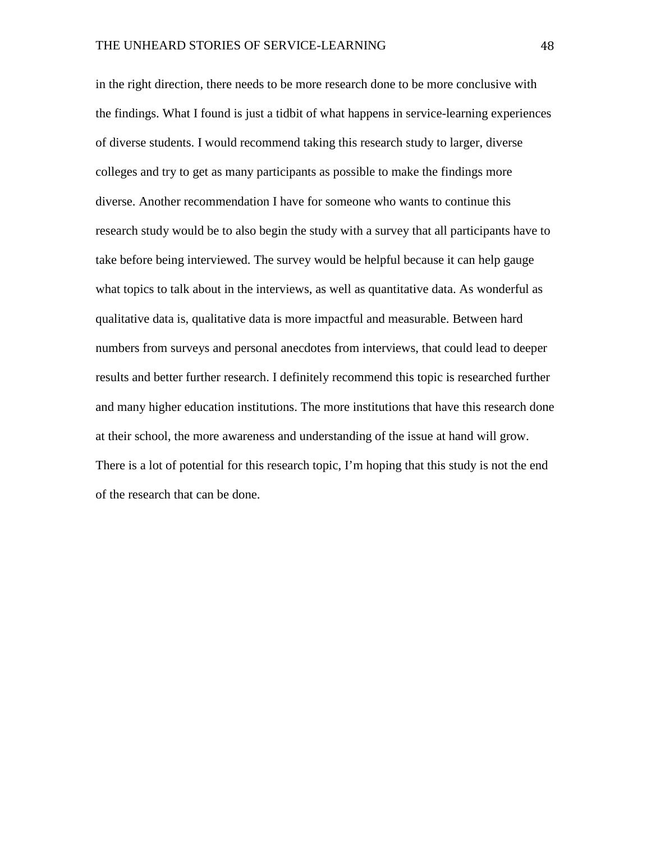in the right direction, there needs to be more research done to be more conclusive with the findings. What I found is just a tidbit of what happens in service-learning experiences of diverse students. I would recommend taking this research study to larger, diverse colleges and try to get as many participants as possible to make the findings more diverse. Another recommendation I have for someone who wants to continue this research study would be to also begin the study with a survey that all participants have to take before being interviewed. The survey would be helpful because it can help gauge what topics to talk about in the interviews, as well as quantitative data. As wonderful as qualitative data is, qualitative data is more impactful and measurable. Between hard numbers from surveys and personal anecdotes from interviews, that could lead to deeper results and better further research. I definitely recommend this topic is researched further and many higher education institutions. The more institutions that have this research done at their school, the more awareness and understanding of the issue at hand will grow. There is a lot of potential for this research topic, I'm hoping that this study is not the end of the research that can be done.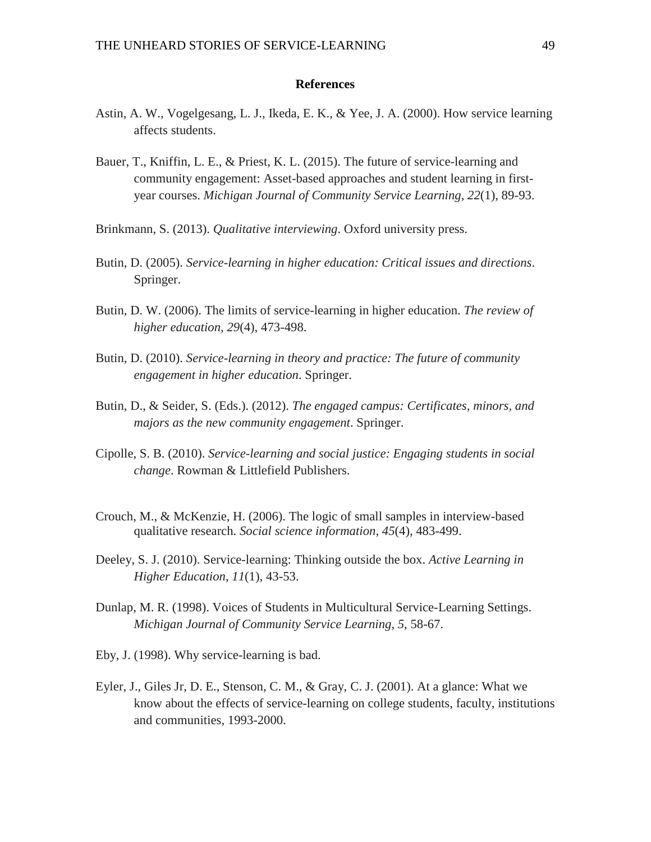#### **References**

- <span id="page-49-0"></span>Astin, A. W., Vogelgesang, L. J., Ikeda, E. K., & Yee, J. A. (2000). How service learning affects students.
- Bauer, T., Kniffin, L. E., & Priest, K. L. (2015). The future of service-learning and community engagement: Asset-based approaches and student learning in firstyear courses. *Michigan Journal of Community Service Learning*, *22*(1), 89-93.
- Brinkmann, S. (2013). *Qualitative interviewing*. Oxford university press.
- Butin, D. (2005). *Service-learning in higher education: Critical issues and directions*. Springer.
- Butin, D. W. (2006). The limits of service-learning in higher education. *The review of higher education*, *29*(4), 473-498.
- Butin, D. (2010). *Service-learning in theory and practice: The future of community engagement in higher education*. Springer.
- Butin, D., & Seider, S. (Eds.). (2012). *The engaged campus: Certificates, minors, and majors as the new community engagement*. Springer.
- Cipolle, S. B. (2010). *Service-learning and social justice: Engaging students in social change*. Rowman & Littlefield Publishers.
- Crouch, M., & McKenzie, H. (2006). The logic of small samples in interview-based qualitative research. *Social science information*, *45*(4), 483-499.
- Deeley, S. J. (2010). Service-learning: Thinking outside the box. *Active Learning in Higher Education*, *11*(1), 43-53.
- Dunlap, M. R. (1998). Voices of Students in Multicultural Service-Learning Settings. *Michigan Journal of Community Service Learning*, *5*, 58-67.
- Eby, J. (1998). Why service-learning is bad.
- Eyler, J., Giles Jr, D. E., Stenson, C. M., & Gray, C. J. (2001). At a glance: What we know about the effects of service-learning on college students, faculty, institutions and communities, 1993-2000.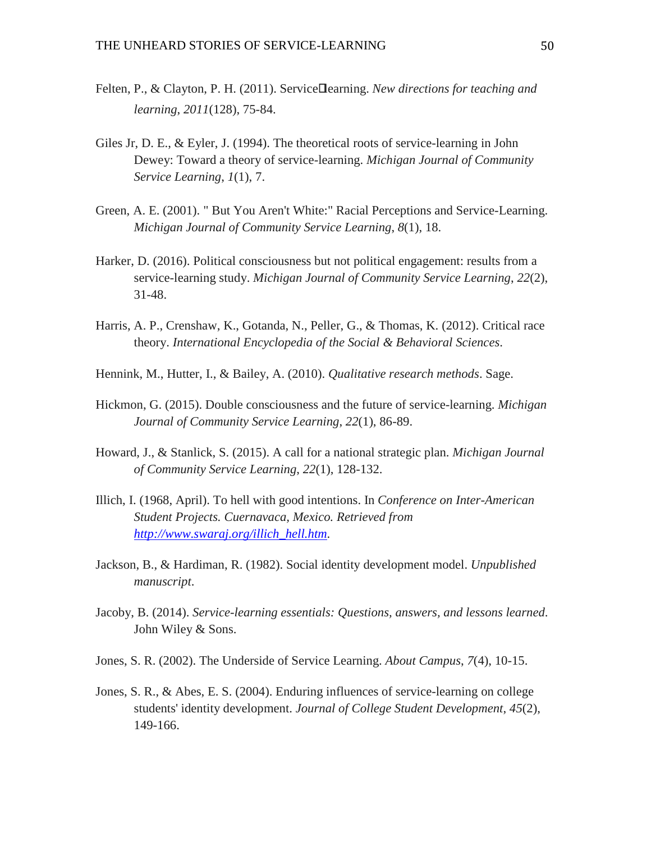- Felten, P., & Clayton, P. H. (2011). Service□earning. *New directions for teaching and learning*, *2011*(128), 75-84.
- Giles Jr, D. E., & Eyler, J. (1994). The theoretical roots of service-learning in John Dewey: Toward a theory of service-learning. *Michigan Journal of Community Service Learning*, *1*(1), 7.
- Green, A. E. (2001). " But You Aren't White:" Racial Perceptions and Service-Learning. *Michigan Journal of Community Service Learning*, *8*(1), 18.
- Harker, D. (2016). Political consciousness but not political engagement: results from a service-learning study. *Michigan Journal of Community Service Learning*, *22*(2), 31-48.
- Harris, A. P., Crenshaw, K., Gotanda, N., Peller, G., & Thomas, K. (2012). Critical race theory. *International Encyclopedia of the Social & Behavioral Sciences*.
- Hennink, M., Hutter, I., & Bailey, A. (2010). *Qualitative research methods*. Sage.
- Hickmon, G. (2015). Double consciousness and the future of service-learning. *Michigan Journal of Community Service Learning*, *22*(1), 86-89.
- Howard, J., & Stanlick, S. (2015). A call for a national strategic plan. *Michigan Journal of Community Service Learning*, *22*(1), 128-132.
- Illich, I. (1968, April). To hell with good intentions. In *Conference on Inter-American Student Projects. Cuernavaca, Mexico. Retrieved from [http://www.swaraj.org/illich\\_hell.htm](http://www.swaraj.org/illich_hell.htm)*.
- Jackson, B., & Hardiman, R. (1982). Social identity development model. *Unpublished manuscript*.
- Jacoby, B. (2014). *Service-learning essentials: Questions, answers, and lessons learned*. John Wiley & Sons.
- Jones, S. R. (2002). The Underside of Service Learning. *About Campus*, *7*(4), 10-15.
- Jones, S. R., & Abes, E. S. (2004). Enduring influences of service-learning on college students' identity development. *Journal of College Student Development*, *45*(2), 149-166.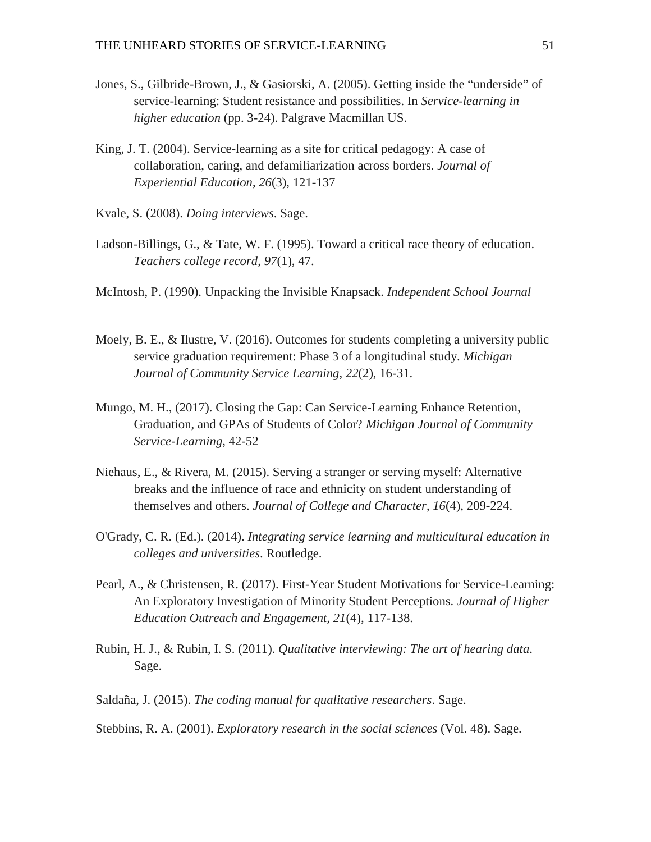- Jones, S., Gilbride-Brown, J., & Gasiorski, A. (2005). Getting inside the "underside" of service-learning: Student resistance and possibilities. In *Service-learning in higher education* (pp. 3-24). Palgrave Macmillan US.
- King, J. T. (2004). Service-learning as a site for critical pedagogy: A case of collaboration, caring, and defamiliarization across borders. *Journal of Experiential Education*, *26*(3), 121-137
- Kvale, S. (2008). *Doing interviews*. Sage.
- Ladson-Billings, G., & Tate, W. F. (1995). Toward a critical race theory of education. *Teachers college record*, *97*(1), 47.
- McIntosh, P. (1990). Unpacking the Invisible Knapsack. *Independent School Journal*
- Moely, B. E., & Ilustre, V. (2016). Outcomes for students completing a university public service graduation requirement: Phase 3 of a longitudinal study. *Michigan Journal of Community Service Learning*, *22*(2), 16-31.
- Mungo, M. H., (2017). Closing the Gap: Can Service-Learning Enhance Retention, Graduation, and GPAs of Students of Color? *Michigan Journal of Community Service-Learning,* 42-52
- Niehaus, E., & Rivera, M. (2015). Serving a stranger or serving myself: Alternative breaks and the influence of race and ethnicity on student understanding of themselves and others. *Journal of College and Character*, *16*(4), 209-224.
- O'Grady, C. R. (Ed.). (2014). *Integrating service learning and multicultural education in colleges and universities*. Routledge.
- Pearl, A., & Christensen, R. (2017). First-Year Student Motivations for Service-Learning: An Exploratory Investigation of Minority Student Perceptions. *Journal of Higher Education Outreach and Engagement, 21*(4), 117-138.
- Rubin, H. J., & Rubin, I. S. (2011). *Qualitative interviewing: The art of hearing data*. Sage.
- Saldaña, J. (2015). *The coding manual for qualitative researchers*. Sage.

Stebbins, R. A. (2001). *Exploratory research in the social sciences* (Vol. 48). Sage.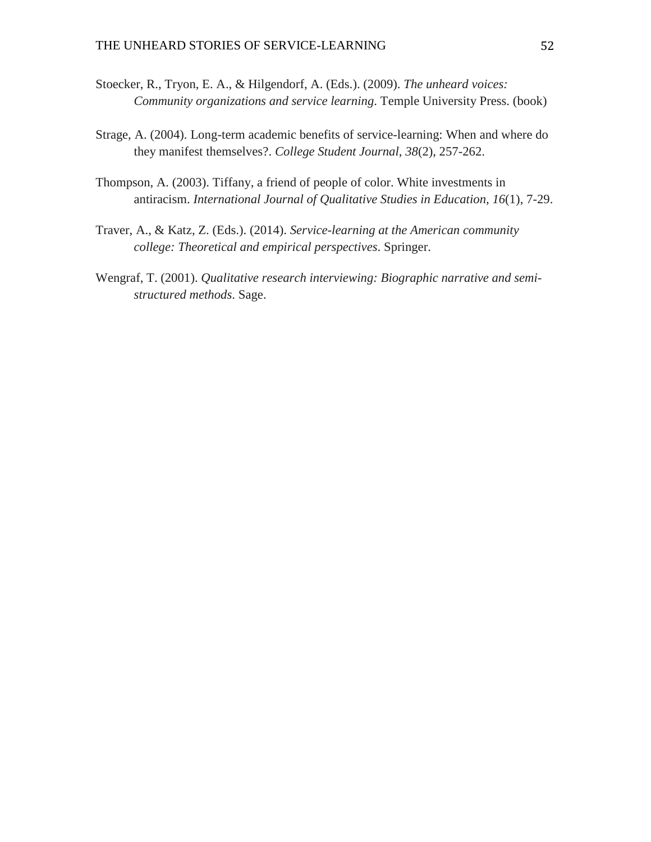- Stoecker, R., Tryon, E. A., & Hilgendorf, A. (Eds.). (2009). *The unheard voices: Community organizations and service learning*. Temple University Press. (book)
- Strage, A. (2004). Long-term academic benefits of service-learning: When and where do they manifest themselves?. *College Student Journal*, *38*(2), 257-262.
- Thompson, A. (2003). Tiffany, a friend of people of color. White investments in antiracism. *International Journal of Qualitative Studies in Education, 16*(1), 7-29.
- Traver, A., & Katz, Z. (Eds.). (2014). *Service-learning at the American community college: Theoretical and empirical perspectives*. Springer.
- Wengraf, T. (2001). *Qualitative research interviewing: Biographic narrative and semistructured methods*. Sage.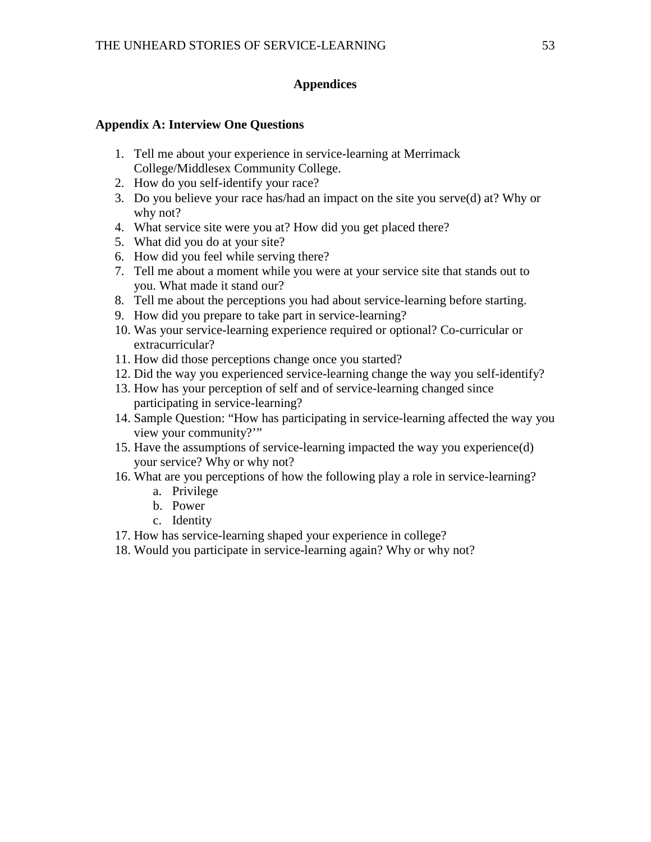#### **Appendices**

#### <span id="page-53-1"></span><span id="page-53-0"></span>**Appendix A: Interview One Questions**

- 1. Tell me about your experience in service-learning at Merrimack College/Middlesex Community College.
- 2. How do you self-identify your race?
- 3. Do you believe your race has/had an impact on the site you serve(d) at? Why or why not?
- 4. What service site were you at? How did you get placed there?
- 5. What did you do at your site?
- 6. How did you feel while serving there?
- 7. Tell me about a moment while you were at your service site that stands out to you. What made it stand our?
- 8. Tell me about the perceptions you had about service-learning before starting.
- 9. How did you prepare to take part in service-learning?
- 10. Was your service-learning experience required or optional? Co-curricular or extracurricular?
- 11. How did those perceptions change once you started?
- 12. Did the way you experienced service-learning change the way you self-identify?
- 13. How has your perception of self and of service-learning changed since participating in service-learning?
- 14. Sample Question: "How has participating in service-learning affected the way you view your community?'"
- 15. Have the assumptions of service-learning impacted the way you experience(d) your service? Why or why not?
- 16. What are you perceptions of how the following play a role in service-learning?
	- a. Privilege
	- b. Power
	- c. Identity
- 17. How has service-learning shaped your experience in college?
- 18. Would you participate in service-learning again? Why or why not?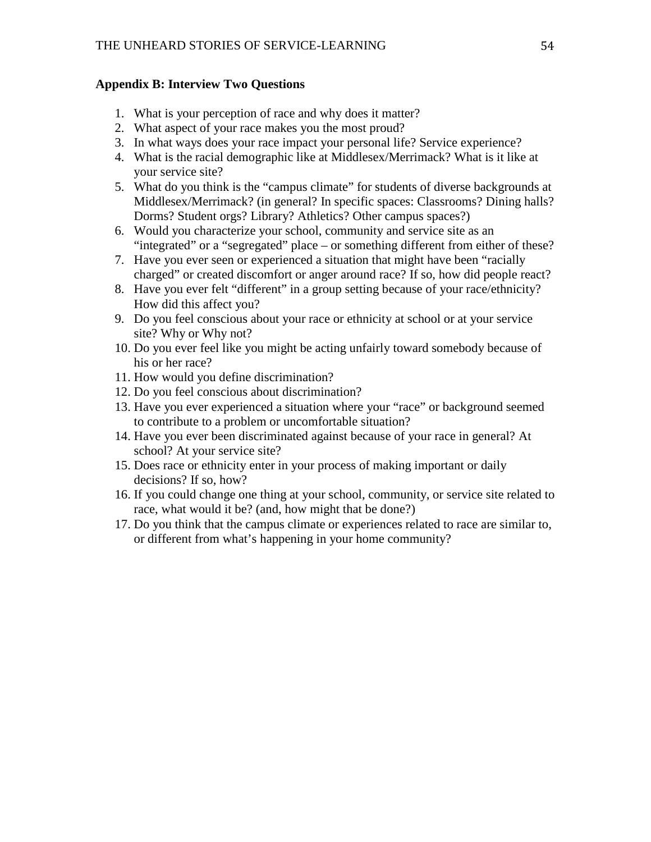#### <span id="page-54-0"></span>**Appendix B: Interview Two Questions**

- 1. What is your perception of race and why does it matter?
- 2. What aspect of your race makes you the most proud?
- 3. In what ways does your race impact your personal life? Service experience?
- 4. What is the racial demographic like at Middlesex/Merrimack? What is it like at your service site?
- 5. What do you think is the "campus climate" for students of diverse backgrounds at Middlesex/Merrimack? (in general? In specific spaces: Classrooms? Dining halls? Dorms? Student orgs? Library? Athletics? Other campus spaces?)
- 6. Would you characterize your school, community and service site as an "integrated" or a "segregated" place – or something different from either of these?
- 7. Have you ever seen or experienced a situation that might have been "racially charged" or created discomfort or anger around race? If so, how did people react?
- 8. Have you ever felt "different" in a group setting because of your race/ethnicity? How did this affect you?
- 9. Do you feel conscious about your race or ethnicity at school or at your service site? Why or Why not?
- 10. Do you ever feel like you might be acting unfairly toward somebody because of his or her race?
- 11. How would you define discrimination?
- 12. Do you feel conscious about discrimination?
- 13. Have you ever experienced a situation where your "race" or background seemed to contribute to a problem or uncomfortable situation?
- 14. Have you ever been discriminated against because of your race in general? At school? At your service site?
- 15. Does race or ethnicity enter in your process of making important or daily decisions? If so, how?
- 16. If you could change one thing at your school, community, or service site related to race, what would it be? (and, how might that be done?)
- 17. Do you think that the campus climate or experiences related to race are similar to, or different from what's happening in your home community?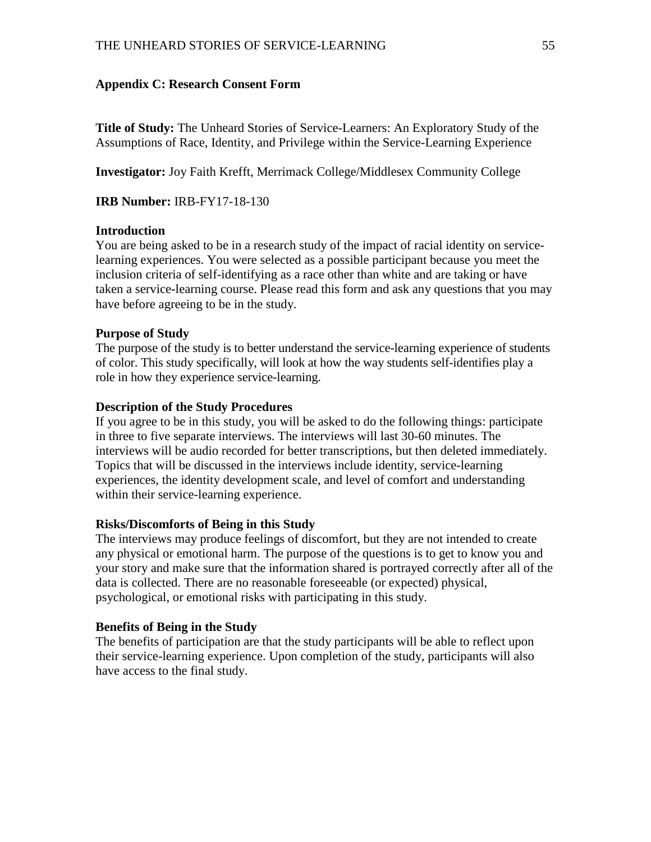#### <span id="page-55-0"></span>**Appendix C: Research Consent Form**

**Title of Study:** The Unheard Stories of Service-Learners: An Exploratory Study of the Assumptions of Race, Identity, and Privilege within the Service-Learning Experience

**Investigator:** Joy Faith Krefft, Merrimack College/Middlesex Community College

**IRB Number:** IRB-FY17-18-130

#### **Introduction**

You are being asked to be in a research study of the impact of racial identity on servicelearning experiences. You were selected as a possible participant because you meet the inclusion criteria of self-identifying as a race other than white and are taking or have taken a service-learning course. Please read this form and ask any questions that you may have before agreeing to be in the study.

#### **Purpose of Study**

The purpose of the study is to better understand the service-learning experience of students of color. This study specifically, will look at how the way students self-identifies play a role in how they experience service-learning.

#### **Description of the Study Procedures**

If you agree to be in this study, you will be asked to do the following things: participate in three to five separate interviews. The interviews will last 30-60 minutes. The interviews will be audio recorded for better transcriptions, but then deleted immediately. Topics that will be discussed in the interviews include identity, service-learning experiences, the identity development scale, and level of comfort and understanding within their service-learning experience.

#### **Risks/Discomforts of Being in this Study**

The interviews may produce feelings of discomfort, but they are not intended to create any physical or emotional harm. The purpose of the questions is to get to know you and your story and make sure that the information shared is portrayed correctly after all of the data is collected. There are no reasonable foreseeable (or expected) physical, psychological, or emotional risks with participating in this study.

#### **Benefits of Being in the Study**

The benefits of participation are that the study participants will be able to reflect upon their service-learning experience. Upon completion of the study, participants will also have access to the final study.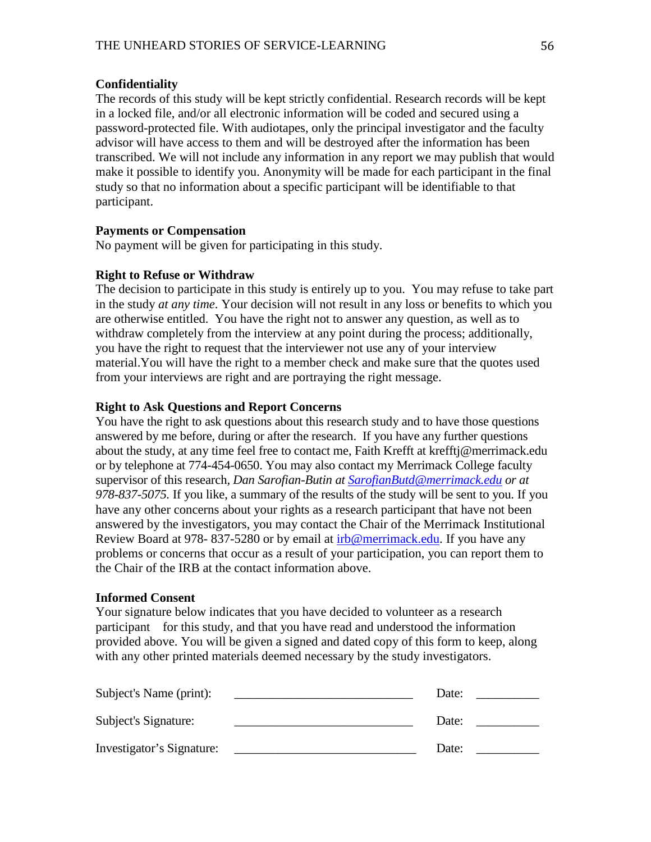#### **Confidentiality**

The records of this study will be kept strictly confidential. Research records will be kept in a locked file, and/or all electronic information will be coded and secured using a password-protected file. With audiotapes, only the principal investigator and the faculty advisor will have access to them and will be destroyed after the information has been transcribed. We will not include any information in any report we may publish that would make it possible to identify you. Anonymity will be made for each participant in the final study so that no information about a specific participant will be identifiable to that participant.

#### **Payments or Compensation**

No payment will be given for participating in this study.

#### **Right to Refuse or Withdraw**

The decision to participate in this study is entirely up to you.You may refuse to take part in the study *at any time*. Your decision will not result in any loss or benefits to which you are otherwise entitled. You have the right not to answer any question, as well as to withdraw completely from the interview at any point during the process; additionally, you have the right to request that the interviewer not use any of your interview material.You will have the right to a member check and make sure that the quotes used from your interviews are right and are portraying the right message.

#### **Right to Ask Questions and Report Concerns**

You have the right to ask questions about this research study and to have those questions answered by me before, during or after the research. If you have any further questions about the study, at any time feel free to contact me, Faith Krefft at krefftj@merrimack.edu or by telephone at 774-454-0650. You may also contact my Merrimack College faculty supervisor of this research*, Dan Sarofian-Butin at [SarofianButd@merrimack.edu](mailto:SarofianButd@merrimack.edu) or at 978-837-5075.* If you like, a summary of the results of the study will be sent to you. If you have any other concerns about your rights as a research participant that have not been answered by the investigators, you may contact the Chair of the Merrimack Institutional Review Board at 978- 837-5280 or by email at  $irb@merrimack.edu.$  If you have any</u> problems or concerns that occur as a result of your participation, you can report them to the Chair of the IRB at the contact information above.

#### **Informed Consent**

Your signature below indicates that you have decided to volunteer as a research participant for this study, and that you have read and understood the information provided above. You will be given a signed and dated copy of this form to keep, along with any other printed materials deemed necessary by the study investigators.

| Subject's Name (print):   | Date: |  |
|---------------------------|-------|--|
| Subject's Signature:      | Date: |  |
| Investigator's Signature: | Date: |  |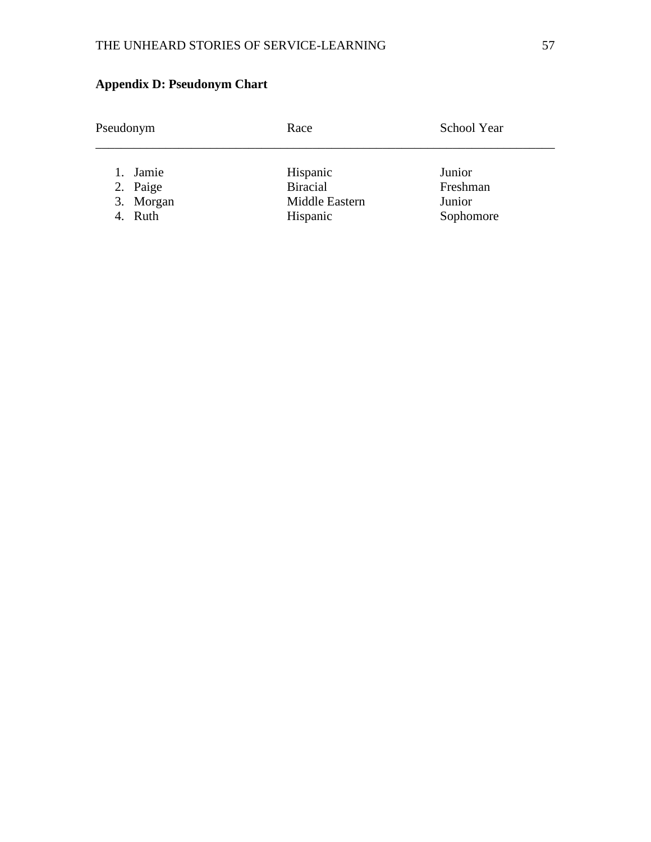| Pseudonym | Race            | School Year |
|-----------|-----------------|-------------|
| 1. Jamie  | Hispanic        | Junior      |
| 2. Paige  | <b>Biracial</b> | Freshman    |
| 3. Morgan | Middle Eastern  | Junior      |
| 4. Ruth   | Hispanic        | Sophomore   |

## <span id="page-57-0"></span>**Appendix D: Pseudonym Chart**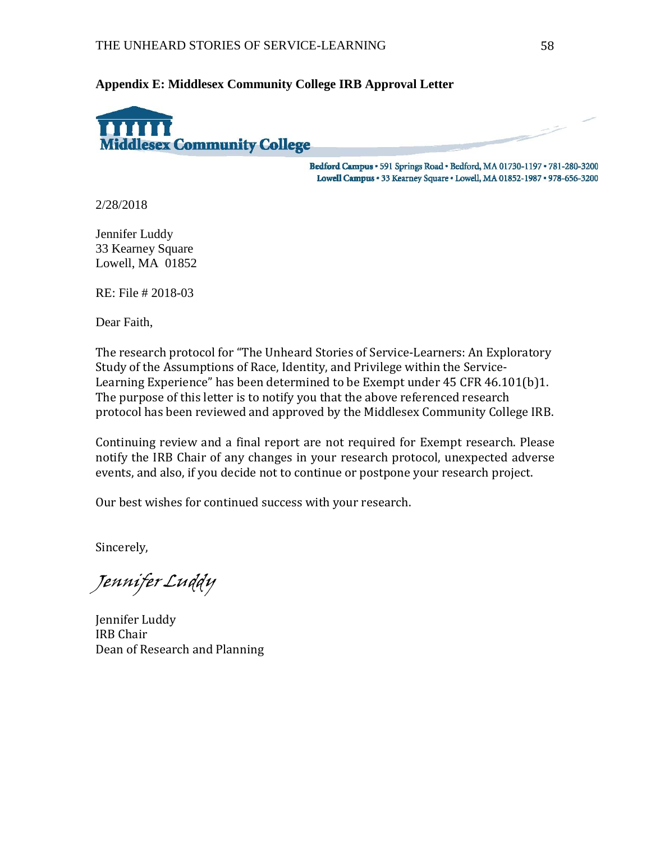<span id="page-58-0"></span>**Appendix E: Middlesex Community College IRB Approval Letter**



Bedford Campus · 591 Springs Road · Bedford, MA 01730-1197 · 781-280-3200 Lowell Campus · 33 Kearney Square · Lowell, MA 01852-1987 · 978-656-3200

2/28/2018

Jennifer Luddy 33 Kearney Square Lowell, MA 01852

RE: File # 2018-03

Dear Faith,

The research protocol for "The Unheard Stories of Service-Learners: An Exploratory Study of the Assumptions of Race, Identity, and Privilege within the Service-Learning Experience" has been determined to be Exempt under 45 CFR 46.101(b)1. The purpose of this letter is to notify you that the above referenced research protocol has been reviewed and approved by the Middlesex Community College IRB.

Continuing review and a final report are not required for Exempt research. Please notify the IRB Chair of any changes in your research protocol, unexpected adverse events, and also, if you decide not to continue or postpone your research project.

Our best wishes for continued success with your research.

Sincerely,

Jennifer Luddy

Jennifer Luddy IRB Chair Dean of Research and Planning